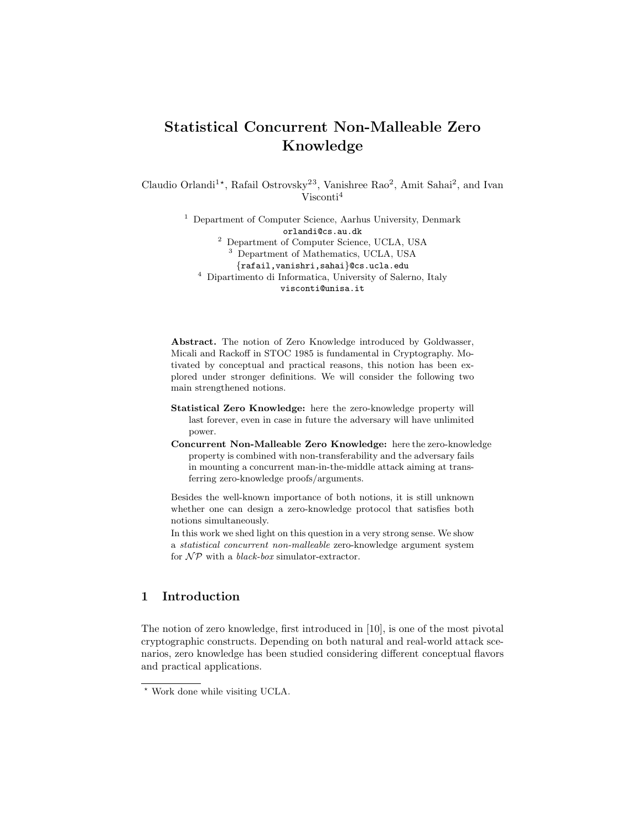# Statistical Concurrent Non-Malleable Zero Knowledge

Claudio Orlandi<sup>1\*</sup>, Rafail Ostrovsky<sup>23</sup>, Vanishree Rao<sup>2</sup>, Amit Sahai<sup>2</sup>, and Ivan Visconti<sup>4</sup>

> <sup>1</sup> Department of Computer Science, Aarhus University, Denmark orlandi@cs.au.dk <sup>2</sup> Department of Computer Science, UCLA, USA <sup>3</sup> Department of Mathematics, UCLA, USA {rafail,vanishri,sahai}@cs.ucla.edu <sup>4</sup> Dipartimento di Informatica, University of Salerno, Italy visconti@unisa.it

Abstract. The notion of Zero Knowledge introduced by Goldwasser, Micali and Rackoff in STOC 1985 is fundamental in Cryptography. Motivated by conceptual and practical reasons, this notion has been explored under stronger definitions. We will consider the following two main strengthened notions.

- Statistical Zero Knowledge: here the zero-knowledge property will last forever, even in case in future the adversary will have unlimited power.
- Concurrent Non-Malleable Zero Knowledge: here the zero-knowledge property is combined with non-transferability and the adversary fails in mounting a concurrent man-in-the-middle attack aiming at transferring zero-knowledge proofs/arguments.

Besides the well-known importance of both notions, it is still unknown whether one can design a zero-knowledge protocol that satisfies both notions simultaneously.

In this work we shed light on this question in a very strong sense. We show a statistical concurrent non-malleable zero-knowledge argument system for  $\mathcal{NP}$  with a  $\mathit{black-box}$  simulator-extractor.

# 1 Introduction

The notion of zero knowledge, first introduced in [10], is one of the most pivotal cryptographic constructs. Depending on both natural and real-world attack scenarios, zero knowledge has been studied considering different conceptual flavors and practical applications.

<sup>?</sup> Work done while visiting UCLA.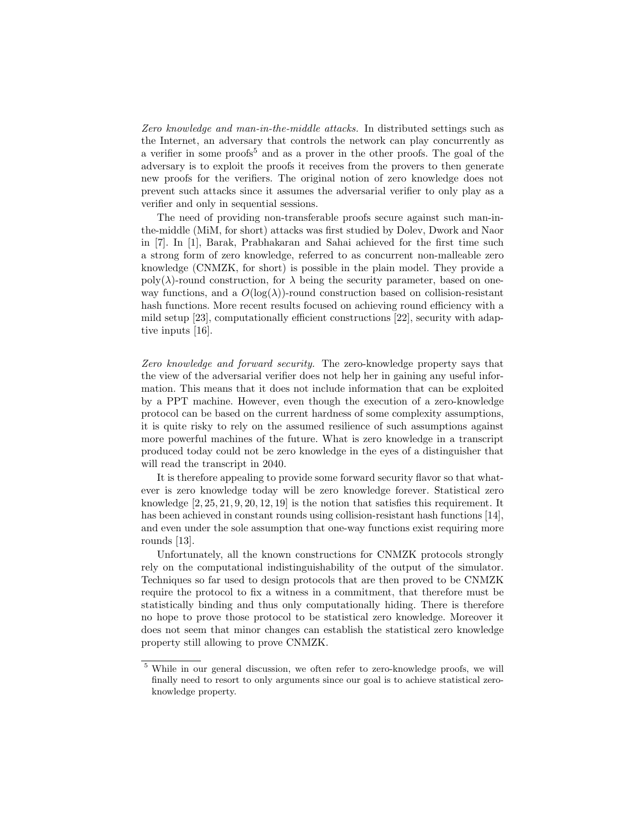Zero knowledge and man-in-the-middle attacks. In distributed settings such as the Internet, an adversary that controls the network can play concurrently as a verifier in some proofs<sup>5</sup> and as a prover in the other proofs. The goal of the adversary is to exploit the proofs it receives from the provers to then generate new proofs for the verifiers. The original notion of zero knowledge does not prevent such attacks since it assumes the adversarial verifier to only play as a verifier and only in sequential sessions.

The need of providing non-transferable proofs secure against such man-inthe-middle (MiM, for short) attacks was first studied by Dolev, Dwork and Naor in [7]. In [1], Barak, Prabhakaran and Sahai achieved for the first time such a strong form of zero knowledge, referred to as concurrent non-malleable zero knowledge (CNMZK, for short) is possible in the plain model. They provide a  $poly(\lambda)$ -round construction, for  $\lambda$  being the security parameter, based on oneway functions, and a  $O(\log(\lambda))$ -round construction based on collision-resistant hash functions. More recent results focused on achieving round efficiency with a mild setup [23], computationally efficient constructions [22], security with adaptive inputs [16].

Zero knowledge and forward security. The zero-knowledge property says that the view of the adversarial verifier does not help her in gaining any useful information. This means that it does not include information that can be exploited by a PPT machine. However, even though the execution of a zero-knowledge protocol can be based on the current hardness of some complexity assumptions, it is quite risky to rely on the assumed resilience of such assumptions against more powerful machines of the future. What is zero knowledge in a transcript produced today could not be zero knowledge in the eyes of a distinguisher that will read the transcript in 2040.

It is therefore appealing to provide some forward security flavor so that whatever is zero knowledge today will be zero knowledge forever. Statistical zero knowledge [2, 25, 21, 9, 20, 12, 19] is the notion that satisfies this requirement. It has been achieved in constant rounds using collision-resistant hash functions [14], and even under the sole assumption that one-way functions exist requiring more rounds [13].

Unfortunately, all the known constructions for CNMZK protocols strongly rely on the computational indistinguishability of the output of the simulator. Techniques so far used to design protocols that are then proved to be CNMZK require the protocol to fix a witness in a commitment, that therefore must be statistically binding and thus only computationally hiding. There is therefore no hope to prove those protocol to be statistical zero knowledge. Moreover it does not seem that minor changes can establish the statistical zero knowledge property still allowing to prove CNMZK.

<sup>5</sup> While in our general discussion, we often refer to zero-knowledge proofs, we will finally need to resort to only arguments since our goal is to achieve statistical zeroknowledge property.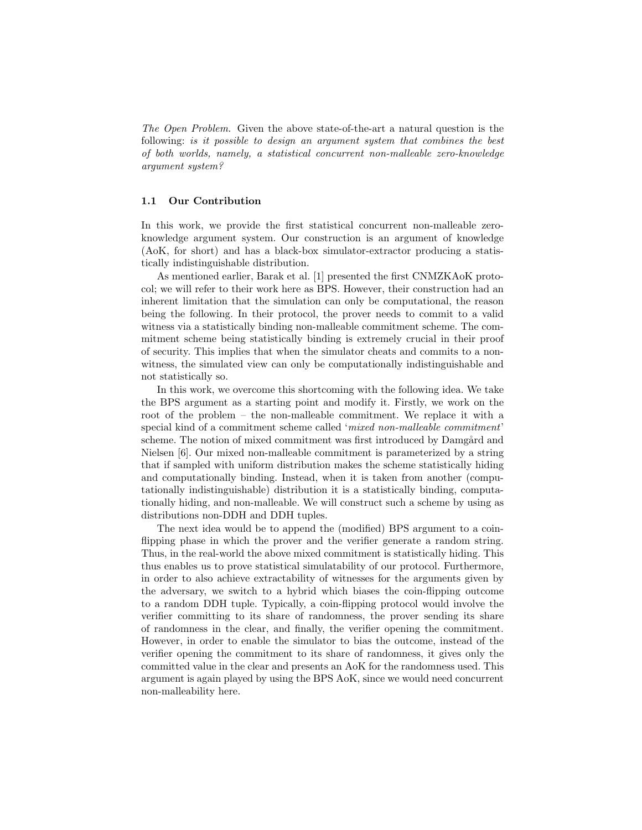The Open Problem. Given the above state-of-the-art a natural question is the following: is it possible to design an argument system that combines the best of both worlds, namely, a statistical concurrent non-malleable zero-knowledge argument system?

# 1.1 Our Contribution

In this work, we provide the first statistical concurrent non-malleable zeroknowledge argument system. Our construction is an argument of knowledge (AoK, for short) and has a black-box simulator-extractor producing a statistically indistinguishable distribution.

As mentioned earlier, Barak et al. [1] presented the first CNMZKAoK protocol; we will refer to their work here as BPS. However, their construction had an inherent limitation that the simulation can only be computational, the reason being the following. In their protocol, the prover needs to commit to a valid witness via a statistically binding non-malleable commitment scheme. The commitment scheme being statistically binding is extremely crucial in their proof of security. This implies that when the simulator cheats and commits to a nonwitness, the simulated view can only be computationally indistinguishable and not statistically so.

In this work, we overcome this shortcoming with the following idea. We take the BPS argument as a starting point and modify it. Firstly, we work on the root of the problem – the non-malleable commitment. We replace it with a special kind of a commitment scheme called 'mixed non-malleable commitment' scheme. The notion of mixed commitment was first introduced by Damgård and Nielsen [6]. Our mixed non-malleable commitment is parameterized by a string that if sampled with uniform distribution makes the scheme statistically hiding and computationally binding. Instead, when it is taken from another (computationally indistinguishable) distribution it is a statistically binding, computationally hiding, and non-malleable. We will construct such a scheme by using as distributions non-DDH and DDH tuples.

The next idea would be to append the (modified) BPS argument to a coinflipping phase in which the prover and the verifier generate a random string. Thus, in the real-world the above mixed commitment is statistically hiding. This thus enables us to prove statistical simulatability of our protocol. Furthermore, in order to also achieve extractability of witnesses for the arguments given by the adversary, we switch to a hybrid which biases the coin-flipping outcome to a random DDH tuple. Typically, a coin-flipping protocol would involve the verifier committing to its share of randomness, the prover sending its share of randomness in the clear, and finally, the verifier opening the commitment. However, in order to enable the simulator to bias the outcome, instead of the verifier opening the commitment to its share of randomness, it gives only the committed value in the clear and presents an AoK for the randomness used. This argument is again played by using the BPS AoK, since we would need concurrent non-malleability here.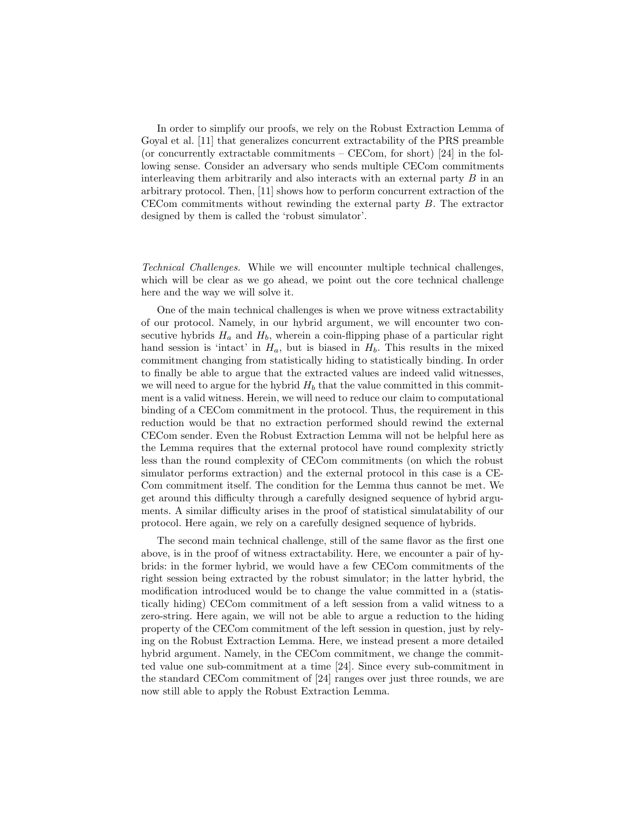In order to simplify our proofs, we rely on the Robust Extraction Lemma of Goyal et al. [11] that generalizes concurrent extractability of the PRS preamble (or concurrently extractable commitments – CECom, for short) [24] in the following sense. Consider an adversary who sends multiple CECom commitments interleaving them arbitrarily and also interacts with an external party B in an arbitrary protocol. Then, [11] shows how to perform concurrent extraction of the CECom commitments without rewinding the external party B. The extractor designed by them is called the 'robust simulator'.

Technical Challenges. While we will encounter multiple technical challenges, which will be clear as we go ahead, we point out the core technical challenge here and the way we will solve it.

One of the main technical challenges is when we prove witness extractability of our protocol. Namely, in our hybrid argument, we will encounter two consecutive hybrids  $H_a$  and  $H_b$ , wherein a coin-flipping phase of a particular right hand session is 'intact' in  $H_a$ , but is biased in  $H_b$ . This results in the mixed commitment changing from statistically hiding to statistically binding. In order to finally be able to argue that the extracted values are indeed valid witnesses, we will need to argue for the hybrid  $H_b$  that the value committed in this commitment is a valid witness. Herein, we will need to reduce our claim to computational binding of a CECom commitment in the protocol. Thus, the requirement in this reduction would be that no extraction performed should rewind the external CECom sender. Even the Robust Extraction Lemma will not be helpful here as the Lemma requires that the external protocol have round complexity strictly less than the round complexity of CECom commitments (on which the robust simulator performs extraction) and the external protocol in this case is a CE-Com commitment itself. The condition for the Lemma thus cannot be met. We get around this difficulty through a carefully designed sequence of hybrid arguments. A similar difficulty arises in the proof of statistical simulatability of our protocol. Here again, we rely on a carefully designed sequence of hybrids.

The second main technical challenge, still of the same flavor as the first one above, is in the proof of witness extractability. Here, we encounter a pair of hybrids: in the former hybrid, we would have a few CECom commitments of the right session being extracted by the robust simulator; in the latter hybrid, the modification introduced would be to change the value committed in a (statistically hiding) CECom commitment of a left session from a valid witness to a zero-string. Here again, we will not be able to argue a reduction to the hiding property of the CECom commitment of the left session in question, just by relying on the Robust Extraction Lemma. Here, we instead present a more detailed hybrid argument. Namely, in the CECom commitment, we change the committed value one sub-commitment at a time [24]. Since every sub-commitment in the standard CECom commitment of [24] ranges over just three rounds, we are now still able to apply the Robust Extraction Lemma.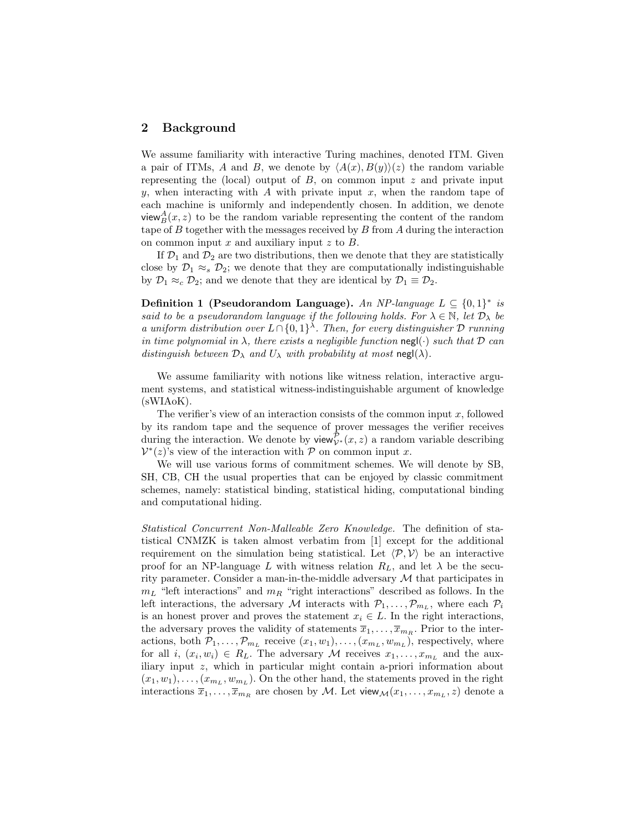# 2 Background

We assume familiarity with interactive Turing machines, denoted ITM. Given a pair of ITMs, A and B, we denote by  $\langle A(x), B(y)\rangle(z)$  the random variable representing the (local) output of  $B$ , on common input  $z$  and private input  $y$ , when interacting with  $A$  with private input  $x$ , when the random tape of each machine is uniformly and independently chosen. In addition, we denote view ${}^A_B(x,z)$  to be the random variable representing the content of the random tape of  $B$  together with the messages received by  $B$  from  $A$  during the interaction on common input  $x$  and auxiliary input  $z$  to  $B$ .

If  $\mathcal{D}_1$  and  $\mathcal{D}_2$  are two distributions, then we denote that they are statistically close by  $\mathcal{D}_1 \approx_s \mathcal{D}_2$ ; we denote that they are computationally indistinguishable by  $\mathcal{D}_1 \approx_c \mathcal{D}_2$ ; and we denote that they are identical by  $\mathcal{D}_1 \equiv \mathcal{D}_2$ .

Definition 1 (Pseudorandom Language). An NP-language  $L \subseteq \{0,1\}^*$  is said to be a pseudorandom language if the following holds. For  $\lambda \in \mathbb{N}$ , let  $\mathcal{D}_{\lambda}$  be a uniform distribution over  $L \cap \{0,1\}^{\lambda}$ . Then, for every distinguisher  $\mathcal D$  running in time polynomial in  $\lambda$ , there exists a negligible function negl( $\cdot$ ) such that  $\mathcal D$  can distinguish between  $\mathcal{D}_{\lambda}$  and  $U_{\lambda}$  with probability at most negl( $\lambda$ ).

We assume familiarity with notions like witness relation, interactive argument systems, and statistical witness-indistinguishable argument of knowledge (sWIAoK).

The verifier's view of an interaction consists of the common input  $x$ , followed by its random tape and the sequence of prover messages the verifier receives during the interaction. We denote by  $view_{\mathcal{V}^*}^{\mathcal{P}}(x, z)$  a random variable describing  $\mathcal{V}^*(z)$ 's view of the interaction with  $\mathcal P$  on common input x.

We will use various forms of commitment schemes. We will denote by SB, SH, CB, CH the usual properties that can be enjoyed by classic commitment schemes, namely: statistical binding, statistical hiding, computational binding and computational hiding.

Statistical Concurrent Non-Malleable Zero Knowledge. The definition of statistical CNMZK is taken almost verbatim from [1] except for the additional requirement on the simulation being statistical. Let  $\langle P, V \rangle$  be an interactive proof for an NP-language L with witness relation  $R_L$ , and let  $\lambda$  be the security parameter. Consider a man-in-the-middle adversary  $M$  that participates in  $m_L$  "left interactions" and  $m_R$  "right interactions" described as follows. In the left interactions, the adversary M interacts with  $P_1, \ldots, P_{m_L}$ , where each  $P_i$ is an honest prover and proves the statement  $x_i \in L$ . In the right interactions, the adversary proves the validity of statements  $\overline{x}_1, \ldots, \overline{x}_{m_R}$ . Prior to the interactions, both  $\mathcal{P}_1, \ldots, \mathcal{P}_{m_L}$  receive  $(x_1, w_1), \ldots, (x_{m_L}, w_{m_L})$ , respectively, where for all  $i, (x_i, w_i) \in R_L$ . The adversary M receives  $x_1, \ldots, x_{m_L}$  and the auxiliary input z, which in particular might contain a-priori information about  $(x_1, w_1), \ldots, (x_{m_L}, w_{m_L})$ . On the other hand, the statements proved in the right interactions  $\overline{x}_1, \ldots, \overline{x}_{m_R}$  are chosen by M. Let view $\mathcal{M}(x_1, \ldots, x_{m_L}, z)$  denote a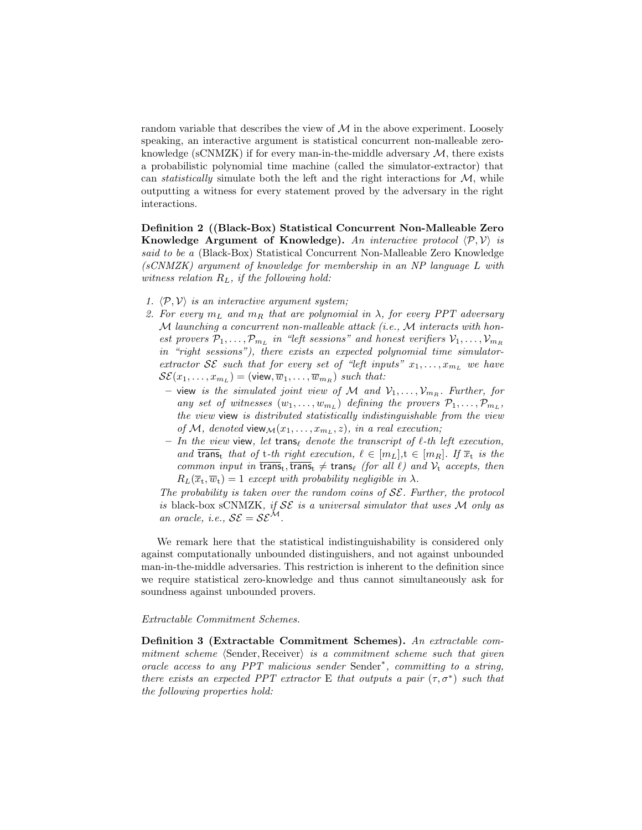random variable that describes the view of  $\mathcal M$  in the above experiment. Loosely speaking, an interactive argument is statistical concurrent non-malleable zeroknowledge (sCNMZK) if for every man-in-the-middle adversary  $M$ , there exists a probabilistic polynomial time machine (called the simulator-extractor) that can *statistically* simulate both the left and the right interactions for  $M$ , while outputting a witness for every statement proved by the adversary in the right interactions.

Definition 2 ((Black-Box) Statistical Concurrent Non-Malleable Zero Knowledge Argument of Knowledge). An interactive protocol  $\langle \mathcal{P}, \mathcal{V} \rangle$  is said to be a (Black-Box) Statistical Concurrent Non-Malleable Zero Knowledge (sCNMZK) argument of knowledge for membership in an NP language L with witness relation  $R_L$ , if the following hold:

- 1.  $\langle \mathcal{P}, \mathcal{V} \rangle$  is an interactive argument system;
- 2. For every  $m<sub>L</sub>$  and  $m<sub>R</sub>$  that are polynomial in  $\lambda$ , for every PPT adversary  $M$  launching a concurrent non-malleable attack (i.e.,  $M$  interacts with honest provers  $P_1, \ldots, P_{m_L}$  in "left sessions" and honest verifiers  $V_1, \ldots, V_{m_R}$ in "right sessions"), there exists an expected polynomial time simulatorextractor SE such that for every set of "left inputs"  $x_1, \ldots, x_{m_L}$  we have  $\mathcal{SE}(x_1,\ldots,x_{m_L})=(\mathsf{view},\overline{w}_1,\ldots,\overline{w}_{m_R})\ \textit{such that:}$ 
	- view is the simulated joint view of M and  $V_1, \ldots, V_{mR}$ . Further, for any set of witnesses  $(w_1, \ldots, w_{m_L})$  defining the provers  $\mathcal{P}_1, \ldots, \mathcal{P}_{m_L}$ , the view view is distributed statistically indistinguishable from the view of M, denoted view  $\mathcal{M}(x_1, \ldots, x_{m_L}, z)$ , in a real execution;
	- In the view view, let trans<sub> $\ell$ </sub> denote the transcript of  $\ell$ -th left execution, and transt that of t-th right execution,  $\ell \in [m_L], t \in [m_R]$ . If  $\overline{x}_t$  is the common input in  $\overline{\text{trans}}_t, \overline{\text{trans}}_t \neq \text{trans}_\ell$  (for all  $\ell$ ) and  $\mathcal{V}_t$  accepts, then  $R_L(\overline{x}_t, \overline{w}_t) = 1$  except with probability negligible in  $\lambda$ .

The probability is taken over the random coins of  $\mathcal{SE}$ . Further, the protocol is black-box sCNMZK, if  $\mathcal{S}\mathcal{E}$  is a universal simulator that uses  $\mathcal{M}$  only as an oracle, i.e.,  $\mathcal{S}\mathcal{E} = \mathcal{S}\mathcal{E}^{\mathcal{M}}$ .

We remark here that the statistical indistinguishability is considered only against computationally unbounded distinguishers, and not against unbounded man-in-the-middle adversaries. This restriction is inherent to the definition since we require statistical zero-knowledge and thus cannot simultaneously ask for soundness against unbounded provers.

#### Extractable Commitment Schemes.

Definition 3 (Extractable Commitment Schemes). An extractable commitment scheme  $\langle$ Sender, Receiver $\rangle$  is a commitment scheme such that given oracle access to any PPT malicious sender Sender<sup>\*</sup>, committing to a string, there exists an expected PPT extractor E that outputs a pair  $(\tau, \sigma^*)$  such that the following properties hold: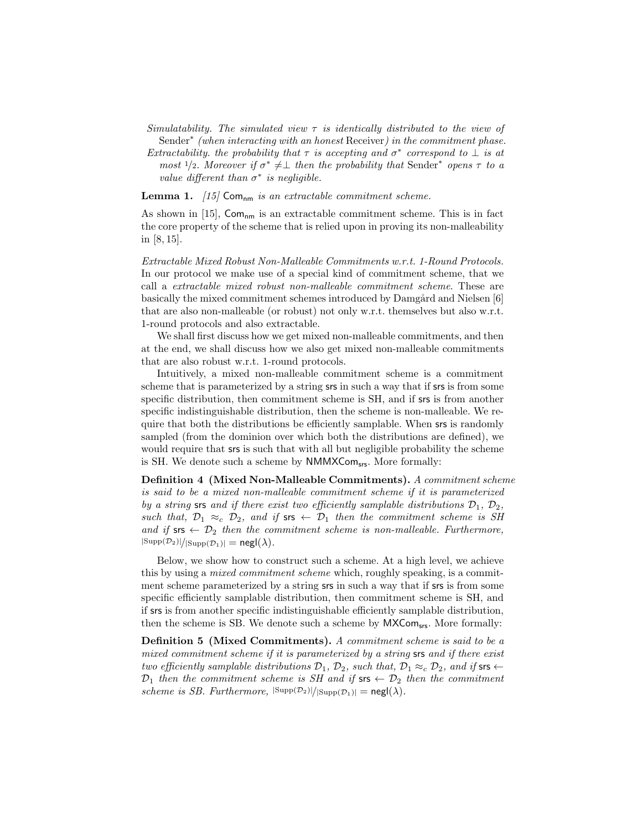Simulatability. The simulated view  $\tau$  is identically distributed to the view of Sender<sup>\*</sup> (when interacting with an honest Receiver) in the commitment phase.

Extractability. the probability that  $\tau$  is accepting and  $\sigma^*$  correspond to  $\bot$  is at most  $1/2$ . Moreover if  $\sigma^* \neq \perp$  then the probability that Sender<sup>\*</sup> opens  $\tau$  to a value different than  $\sigma^*$  is negligible.

**Lemma 1.** [15] Com<sub>nm</sub> is an extractable commitment scheme.

As shown in [15],  $\text{Com}_{nm}$  is an extractable commitment scheme. This is in fact the core property of the scheme that is relied upon in proving its non-malleability in [8, 15].

Extractable Mixed Robust Non-Malleable Commitments w.r.t. 1-Round Protocols. In our protocol we make use of a special kind of commitment scheme, that we call a extractable mixed robust non-malleable commitment scheme. These are basically the mixed commitment schemes introduced by Damgård and Nielsen [6] that are also non-malleable (or robust) not only w.r.t. themselves but also w.r.t. 1-round protocols and also extractable.

We shall first discuss how we get mixed non-malleable commitments, and then at the end, we shall discuss how we also get mixed non-malleable commitments that are also robust w.r.t. 1-round protocols.

Intuitively, a mixed non-malleable commitment scheme is a commitment scheme that is parameterized by a string srs in such a way that if srs is from some specific distribution, then commitment scheme is SH, and if srs is from another specific indistinguishable distribution, then the scheme is non-malleable. We require that both the distributions be efficiently samplable. When srs is randomly sampled (from the dominion over which both the distributions are defined), we would require that srs is such that with all but negligible probability the scheme is SH. We denote such a scheme by NMMXCom<sub>srs</sub>. More formally:

Definition 4 (Mixed Non-Malleable Commitments). A commitment scheme is said to be a mixed non-malleable commitment scheme if it is parameterized by a string srs and if there exist two efficiently samplable distributions  $\mathcal{D}_1, \mathcal{D}_2,$ such that,  $\mathcal{D}_1 \approx_c \mathcal{D}_2$ , and if srs  $\leftarrow \mathcal{D}_1$  then the commitment scheme is SH and if  $\mathsf{ss} \leftarrow \mathcal{D}_2$  then the commitment scheme is non-malleable. Furthermore,  $|\text{Supp}(\mathcal{D}_2)|/|\text{Supp}(\mathcal{D}_1)| = \text{negl}(\lambda).$ 

Below, we show how to construct such a scheme. At a high level, we achieve this by using a *mixed commitment scheme* which, roughly speaking, is a commitment scheme parameterized by a string srs in such a way that if srs is from some specific efficiently samplable distribution, then commitment scheme is SH, and if srs is from another specific indistinguishable efficiently samplable distribution, then the scheme is SB. We denote such a scheme by  $MXCom<sub>srs</sub>$ . More formally:

Definition 5 (Mixed Commitments). A commitment scheme is said to be a mixed commitment scheme if it is parameterized by a string srs and if there exist two efficiently samplable distributions  $\mathcal{D}_1$ ,  $\mathcal{D}_2$ , such that,  $\mathcal{D}_1 \approx_c \mathcal{D}_2$ , and if srs  $\leftarrow$  $\mathcal{D}_1$  then the commitment scheme is SH and if  $\mathsf{ss} \leftarrow \mathcal{D}_2$  then the commitment scheme is SB. Furthermore,  $|\text{Supp}(\mathcal{D}_2)|/|\text{Supp}(\mathcal{D}_1)| = \text{negl}(\lambda)$ .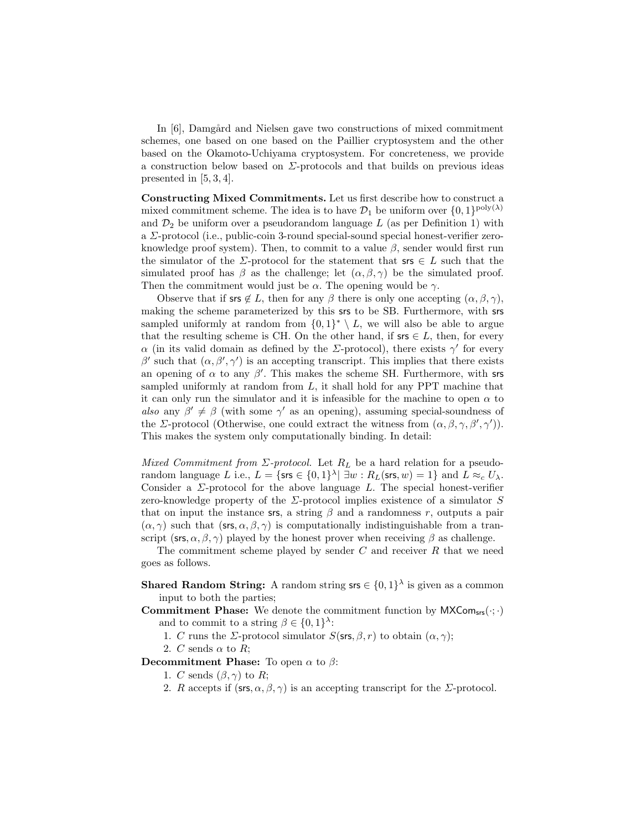In  $[6]$ , Damgård and Nielsen gave two constructions of mixed commitment schemes, one based on one based on the Paillier cryptosystem and the other based on the Okamoto-Uchiyama cryptosystem. For concreteness, we provide a construction below based on  $\Sigma$ -protocols and that builds on previous ideas presented in  $[5, 3, 4]$ .

Constructing Mixed Commitments. Let us first describe how to construct a mixed commitment scheme. The idea is to have  $\mathcal{D}_1$  be uniform over  $\{0,1\}^{\text{poly}(\lambda)}$ and  $\mathcal{D}_2$  be uniform over a pseudorandom language L (as per Definition 1) with a Σ-protocol (i.e., public-coin 3-round special-sound special honest-verifier zeroknowledge proof system). Then, to commit to a value  $\beta$ , sender would first run the simulator of the  $\Sigma$ -protocol for the statement that srs  $\in L$  such that the simulated proof has  $\beta$  as the challenge; let  $(\alpha, \beta, \gamma)$  be the simulated proof. Then the commitment would just be  $\alpha$ . The opening would be  $\gamma$ .

Observe that if srs  $\notin L$ , then for any  $\beta$  there is only one accepting  $(\alpha, \beta, \gamma)$ , making the scheme parameterized by this srs to be SB. Furthermore, with srs sampled uniformly at random from  $\{0,1\}^* \setminus L$ , we will also be able to argue that the resulting scheme is CH. On the other hand, if  $\mathsf{ss} \in L$ , then, for every  $\alpha$  (in its valid domain as defined by the *Σ*-protocol), there exists  $\gamma'$  for every  $\beta'$  such that  $(α, β', γ')$  is an accepting transcript. This implies that there exists an opening of  $\alpha$  to any  $\beta'$ . This makes the scheme SH. Furthermore, with srs sampled uniformly at random from  $L$ , it shall hold for any PPT machine that it can only run the simulator and it is infeasible for the machine to open  $\alpha$  to also any  $\beta' \neq \beta$  (with some  $\gamma'$  as an opening), assuming special-soundness of the *Σ*-protocol (Otherwise, one could extract the witness from  $(\alpha, \beta, \gamma, \beta', \gamma')$ ). This makes the system only computationally binding. In detail:

Mixed Commitment from  $\Sigma$ -protocol. Let  $R_L$  be a hard relation for a pseudorandom language L i.e.,  $L = \{ \textsf{srs} \in \{0,1\}^\lambda \mid \exists w : R_L(\textsf{srs}, w) = 1 \}$  and  $L \approx_c U_\lambda$ . Consider a  $\Sigma$ -protocol for the above language L. The special honest-verifier zero-knowledge property of the  $\Sigma$ -protocol implies existence of a simulator S that on input the instance srs, a string  $\beta$  and a randomness r, outputs a pair  $(\alpha, \gamma)$  such that (srs,  $\alpha, \beta, \gamma$ ) is computationally indistinguishable from a transcript (srs,  $\alpha$ ,  $\beta$ ,  $\gamma$ ) played by the honest prover when receiving  $\beta$  as challenge.

The commitment scheme played by sender  $C$  and receiver  $R$  that we need goes as follows.

- **Shared Random String:** A random string  $\mathsf{ss} \in \{0,1\}^{\lambda}$  is given as a common input to both the parties;
- **Commitment Phase:** We denote the commitment function by  $MXCom<sub>srs</sub>(·;·)$ and to commit to a string  $\beta \in \{0,1\}^{\lambda}$ :
	- 1. C runs the *Σ*-protocol simulator  $S(\text{ss}, \beta, r)$  to obtain  $(\alpha, \gamma)$ ;
	- 2. C sends  $\alpha$  to R;

**Decommitment Phase:** To open  $\alpha$  to  $\beta$ :

- 1. C sends  $(\beta, \gamma)$  to R;
- 2. R accepts if  $(srs, \alpha, \beta, \gamma)$  is an accepting transcript for the *Σ*-protocol.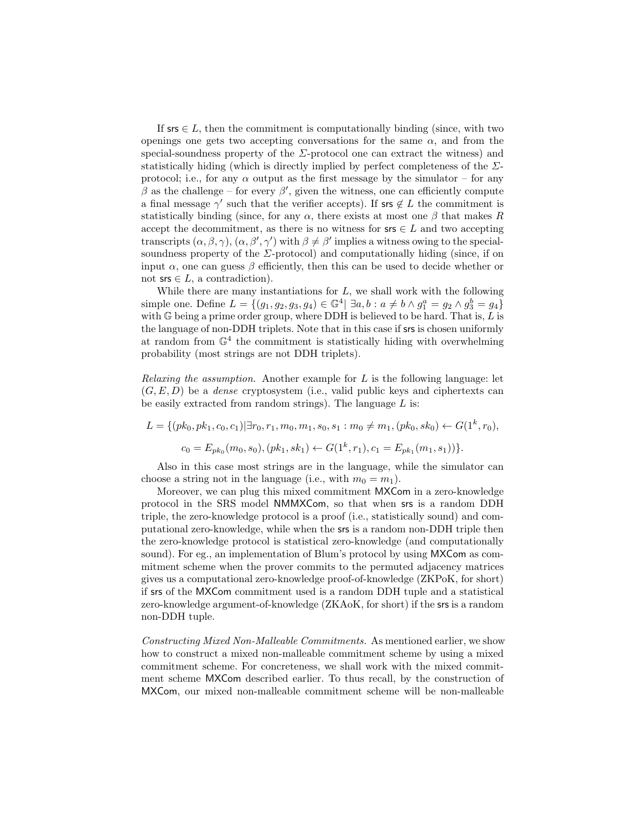If  $\mathsf{Srs} \in L$ , then the commitment is computationally binding (since, with two openings one gets two accepting conversations for the same  $\alpha$ , and from the special-soundness property of the  $\Sigma$ -protocol one can extract the witness) and statistically hiding (which is directly implied by perfect completeness of the  $\Sigma$ protocol; i.e., for any  $\alpha$  output as the first message by the simulator – for any  $\beta$  as the challenge – for every  $\beta'$ , given the witness, one can efficiently compute a final message  $\gamma'$  such that the verifier accepts). If srs  $\notin L$  the commitment is statistically binding (since, for any  $\alpha$ , there exists at most one  $\beta$  that makes R accept the decommitment, as there is no witness for  $\mathsf{ss} \in L$  and two accepting transcripts  $(\alpha, \beta, \gamma)$ ,  $(\alpha, \beta', \gamma')$  with  $\beta \neq \beta'$  implies a witness owing to the specialsoundness property of the  $\Sigma$ -protocol) and computationally hiding (since, if on input  $\alpha$ , one can guess  $\beta$  efficiently, then this can be used to decide whether or not srs  $\in L$ , a contradiction).

While there are many instantiations for  $L$ , we shall work with the following simple one. Define  $L = \{(g_1, g_2, g_3, g_4) \in \mathbb{G}^4 | \exists a, b : a \neq b \land g_1^a = g_2 \land g_3^b = g_4\}$ with  $\mathbb G$  being a prime order group, where DDH is believed to be hard. That is,  $L$  is the language of non-DDH triplets. Note that in this case if srs is chosen uniformly at random from  $\mathbb{G}^4$  the commitment is statistically hiding with overwhelming probability (most strings are not DDH triplets).

Relaxing the assumption. Another example for  $L$  is the following language: let  $(G, E, D)$  be a *dense* cryptosystem (i.e., valid public keys and ciphertexts can be easily extracted from random strings). The language  $L$  is:

 $L = \{(pk_0, pk_1, c_0, c_1) | \exists r_0, r_1, m_0, m_1, s_0, s_1 : m_0 \neq m_1, (pk_0, sk_0) \leftarrow G(1^k, r_0),$  $c_0 = E_{pk_0}(m_0, s_0), (pk_1, sk_1) \leftarrow G(1^k, r_1), c_1 = E_{pk_1}(m_1, s_1))\}.$ 

Also in this case most strings are in the language, while the simulator can choose a string not in the language (i.e., with  $m_0 = m_1$ ).

Moreover, we can plug this mixed commitment MXCom in a zero-knowledge protocol in the SRS model NMMXCom, so that when srs is a random DDH triple, the zero-knowledge protocol is a proof (i.e., statistically sound) and computational zero-knowledge, while when the srs is a random non-DDH triple then the zero-knowledge protocol is statistical zero-knowledge (and computationally sound). For eg., an implementation of Blum's protocol by using MXCom as commitment scheme when the prover commits to the permuted adjacency matrices gives us a computational zero-knowledge proof-of-knowledge (ZKPoK, for short) if srs of the MXCom commitment used is a random DDH tuple and a statistical zero-knowledge argument-of-knowledge (ZKAoK, for short) if the srs is a random non-DDH tuple.

Constructing Mixed Non-Malleable Commitments. As mentioned earlier, we show how to construct a mixed non-malleable commitment scheme by using a mixed commitment scheme. For concreteness, we shall work with the mixed commitment scheme MXCom described earlier. To thus recall, by the construction of MXCom, our mixed non-malleable commitment scheme will be non-malleable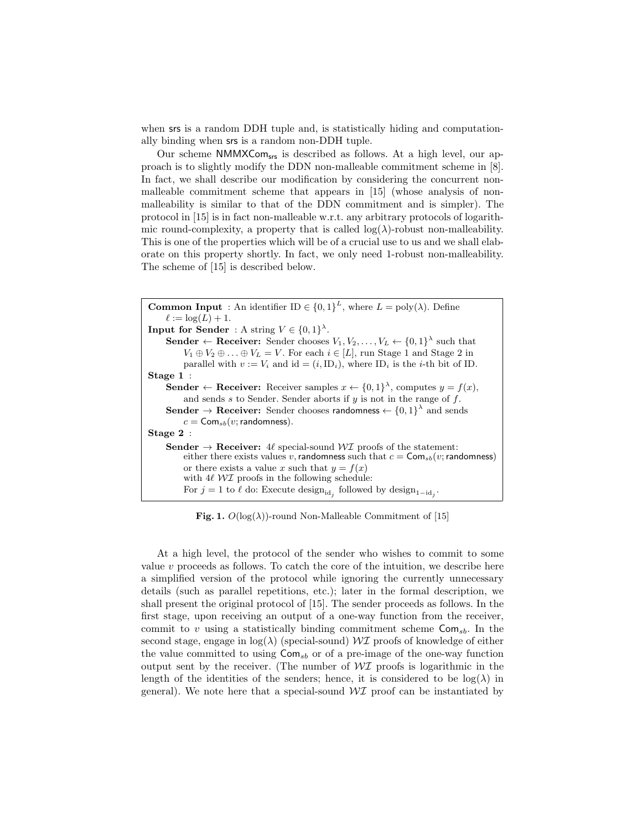when srs is a random DDH tuple and, is statistically hiding and computationally binding when srs is a random non-DDH tuple.

Our scheme NMMXCom<sub>srs</sub> is described as follows. At a high level, our approach is to slightly modify the DDN non-malleable commitment scheme in [8]. In fact, we shall describe our modification by considering the concurrent nonmalleable commitment scheme that appears in [15] (whose analysis of nonmalleability is similar to that of the DDN commitment and is simpler). The protocol in [15] is in fact non-malleable w.r.t. any arbitrary protocols of logarithmic round-complexity, a property that is called  $log(\lambda)$ -robust non-malleability. This is one of the properties which will be of a crucial use to us and we shall elaborate on this property shortly. In fact, we only need 1-robust non-malleability. The scheme of [15] is described below.

```
Common Input : An identifier ID \in \{0,1\}^L, where L = \text{poly}(\lambda). Define
    \ell := \log(L) + 1.Input for Sender : A string V \in \{0,1\}^{\lambda}.
     Sender \leftarrow Receiver: Sender chooses V_1, V_2, \ldots, V_L \leftarrow \{0, 1\}^{\lambda} such that
          V_1 \oplus V_2 \oplus \ldots \oplus V_L = V. For each i \in [L], run Stage 1 and Stage 2 in
          parallel with v := V_i and id = (i, \text{ID}_i), where ID<sub>i</sub> is the i-th bit of ID.
Stage 1 :
     Sender \leftarrow Receiver: Receiver samples x \leftarrow \{0,1\}^{\lambda}, computes y = f(x),
          and sends s to Sender. Sender aborts if y is not in the range of f.
     Sender \rightarrow Receiver: Sender chooses randomness \leftarrow \{0,1\}^{\lambda} and sends
          c = \textsf{Com}_{sb}(v; \textsf{randomness}).Stage 2 :
     Sender \rightarrow Receiver: 4\ell special-sound W\mathcal{I} proofs of the statement:
          either there exists values v, randomness such that c = \text{Com}_{sb}(v; \text{randomness})or there exists a value x such that y = f(x)with 4\ell WI proofs in the following schedule:
           For j = 1 to \ell do: Execute design<sub>id<sub>j</sub></sub> followed by design<sub>1-idj</sub>.
```
Fig. 1.  $O(log(\lambda))$ -round Non-Malleable Commitment of [15]

At a high level, the protocol of the sender who wishes to commit to some value  $v$  proceeds as follows. To catch the core of the intuition, we describe here a simplified version of the protocol while ignoring the currently unnecessary details (such as parallel repetitions, etc.); later in the formal description, we shall present the original protocol of [15]. The sender proceeds as follows. In the first stage, upon receiving an output of a one-way function from the receiver, commit to v using a statistically binding commitment scheme  $Com<sub>sb</sub>$ . In the second stage, engage in  $log(\lambda)$  (special-sound)  $\mathcal{W} \mathcal{I}$  proofs of knowledge of either the value committed to using  $Com_{sb}$  or of a pre-image of the one-way function output sent by the receiver. (The number of  $\mathcal{W} \mathcal{I}$  proofs is logarithmic in the length of the identities of the senders; hence, it is considered to be  $log(\lambda)$  in general). We note here that a special-sound  $\mathcal{W} \mathcal{I}$  proof can be instantiated by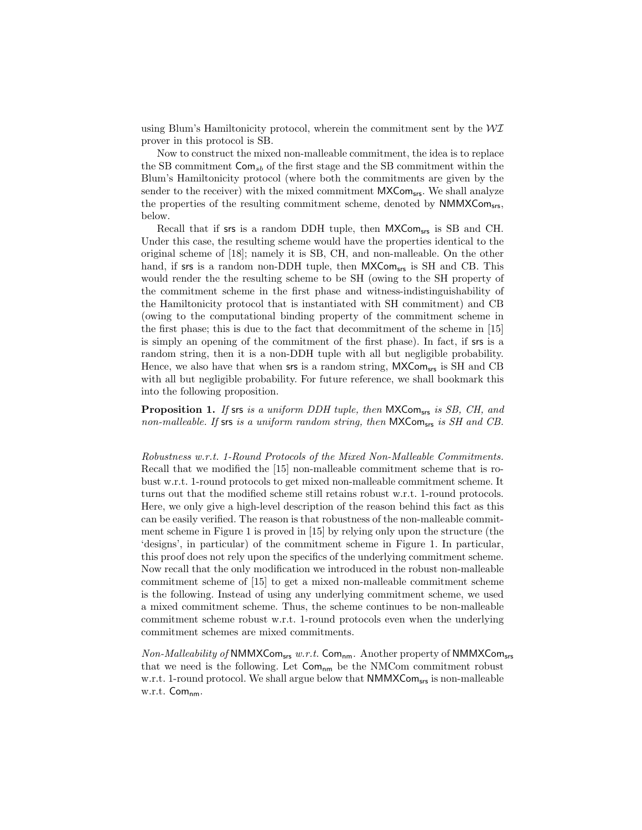using Blum's Hamiltonicity protocol, wherein the commitment sent by the  $W\mathcal{I}$ prover in this protocol is SB.

Now to construct the mixed non-malleable commitment, the idea is to replace the SB commitment  $Com_{sb}$  of the first stage and the SB commitment within the Blum's Hamiltonicity protocol (where both the commitments are given by the sender to the receiver) with the mixed commitment  $MXCom<sub>ss</sub>$ . We shall analyze the properties of the resulting commitment scheme, denoted by NMMXCom<sub>srs</sub>, below.

Recall that if srs is a random DDH tuple, then MXCom<sub>srs</sub> is SB and CH. Under this case, the resulting scheme would have the properties identical to the original scheme of [18]; namely it is SB, CH, and non-malleable. On the other hand, if srs is a random non-DDH tuple, then  $MXCom<sub>srs</sub>$  is SH and CB. This would render the the resulting scheme to be SH (owing to the SH property of the commitment scheme in the first phase and witness-indistinguishability of the Hamiltonicity protocol that is instantiated with SH commitment) and CB (owing to the computational binding property of the commitment scheme in the first phase; this is due to the fact that decommitment of the scheme in [15] is simply an opening of the commitment of the first phase). In fact, if srs is a random string, then it is a non-DDH tuple with all but negligible probability. Hence, we also have that when srs is a random string,  $MXCom<sub>srs</sub>$  is SH and CB with all but negligible probability. For future reference, we shall bookmark this into the following proposition.

**Proposition 1.** If srs is a uniform DDH tuple, then  $MXCom_{srs}$  is  $SB$ ,  $CH$ , and non-malleable. If srs is a uniform random string, then  $MXCom_{srs}$  is SH and CB.

Robustness w.r.t. 1-Round Protocols of the Mixed Non-Malleable Commitments. Recall that we modified the [15] non-malleable commitment scheme that is robust w.r.t. 1-round protocols to get mixed non-malleable commitment scheme. It turns out that the modified scheme still retains robust w.r.t. 1-round protocols. Here, we only give a high-level description of the reason behind this fact as this can be easily verified. The reason is that robustness of the non-malleable commitment scheme in Figure 1 is proved in [15] by relying only upon the structure (the 'designs', in particular) of the commitment scheme in Figure 1. In particular, this proof does not rely upon the specifics of the underlying commitment scheme. Now recall that the only modification we introduced in the robust non-malleable commitment scheme of [15] to get a mixed non-malleable commitment scheme is the following. Instead of using any underlying commitment scheme, we used a mixed commitment scheme. Thus, the scheme continues to be non-malleable commitment scheme robust w.r.t. 1-round protocols even when the underlying commitment schemes are mixed commitments.

Non-Malleability of NMMXCom<sub>srs</sub> w.r.t. Com<sub>nm</sub>. Another property of NMMXCom<sub>srs</sub> that we need is the following. Let  $\mathsf{Com}_{nm}$  be the NMCom commitment robust w.r.t. 1-round protocol. We shall argue below that NMMXCom<sub>srs</sub> is non-malleable w.r.t. Com<sub>nm</sub>.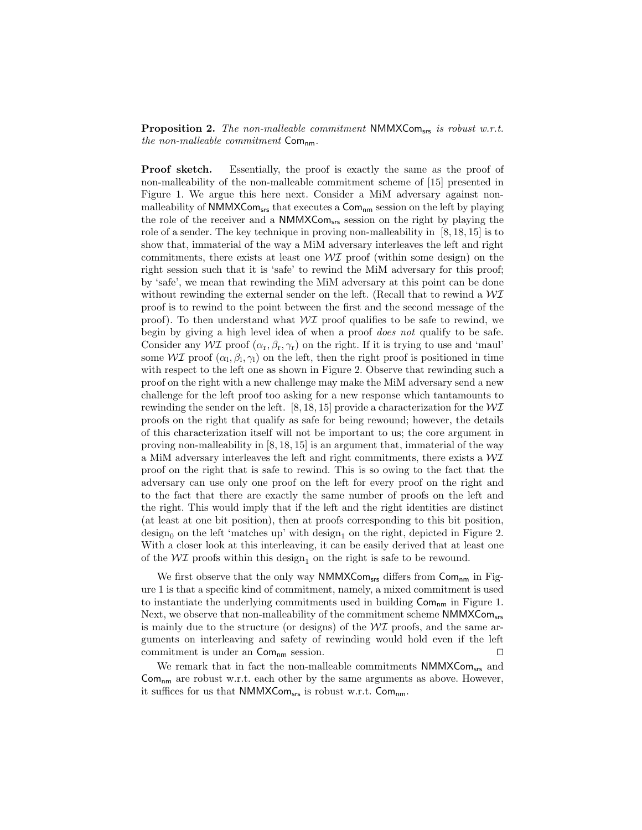**Proposition 2.** The non-malleable commitment NMMXCom<sub>sts</sub> is robust w.r.t. the non-malleable commitment  $Comm.$ 

Proof sketch. Essentially, the proof is exactly the same as the proof of non-malleability of the non-malleable commitment scheme of [15] presented in Figure 1. We argue this here next. Consider a MiM adversary against nonmalleability of NMMXCom<sub>srs</sub> that executes a Com<sub>nm</sub> session on the left by playing the role of the receiver and a NMMXCom<sub>srs</sub> session on the right by playing the role of a sender. The key technique in proving non-malleability in [8, 18, 15] is to show that, immaterial of the way a MiM adversary interleaves the left and right commitments, there exists at least one  $\mathcal{W} \mathcal{I}$  proof (within some design) on the right session such that it is 'safe' to rewind the MiM adversary for this proof; by 'safe', we mean that rewinding the MiM adversary at this point can be done without rewinding the external sender on the left. (Recall that to rewind a  $W\mathcal{I}$ proof is to rewind to the point between the first and the second message of the proof). To then understand what  $\mathcal{W} \mathcal{I}$  proof qualifies to be safe to rewind, we begin by giving a high level idea of when a proof does not qualify to be safe. Consider any WI proof  $(\alpha_{\rm r}, \beta_{\rm r}, \gamma_{\rm r})$  on the right. If it is trying to use and 'maul' some  $\mathcal{W} \mathcal{I}$  proof  $(\alpha_1, \beta_1, \gamma_1)$  on the left, then the right proof is positioned in time with respect to the left one as shown in Figure 2. Observe that rewinding such a proof on the right with a new challenge may make the MiM adversary send a new challenge for the left proof too asking for a new response which tantamounts to rewinding the sender on the left. [8, 18, 15] provide a characterization for the  $W\mathcal{I}$ proofs on the right that qualify as safe for being rewound; however, the details of this characterization itself will not be important to us; the core argument in proving non-malleability in [8, 18, 15] is an argument that, immaterial of the way a MiM adversary interleaves the left and right commitments, there exists a  $\mathcal{W} \mathcal{I}$ proof on the right that is safe to rewind. This is so owing to the fact that the adversary can use only one proof on the left for every proof on the right and to the fact that there are exactly the same number of proofs on the left and the right. This would imply that if the left and the right identities are distinct (at least at one bit position), then at proofs corresponding to this bit position, design<sub>0</sub> on the left 'matches up' with design<sub>1</sub> on the right, depicted in Figure 2. With a closer look at this interleaving, it can be easily derived that at least one of the  $W\mathcal I$  proofs within this design<sub>1</sub> on the right is safe to be rewound.

We first observe that the only way  $NMMXCom<sub>srs</sub>$  differs from  $Com<sub>nm</sub>$  in Figure 1 is that a specific kind of commitment, namely, a mixed commitment is used to instantiate the underlying commitments used in building  $\text{Com}_{nm}$  in Figure 1. Next, we observe that non-malleability of the commitment scheme NMMXComs is mainly due to the structure (or designs) of the  $W\mathcal{I}$  proofs, and the same arguments on interleaving and safety of rewinding would hold even if the left commitment is under an  $\mathsf{Com}_{nm}$  session.  $\Box$ 

We remark that in fact the non-malleable commitments NMMXCom<sub>srs</sub> and  $\mathsf{Com}_{nm}$  are robust w.r.t. each other by the same arguments as above. However, it suffices for us that NMMXCom<sub>srs</sub> is robust w.r.t. Com<sub>nm</sub>.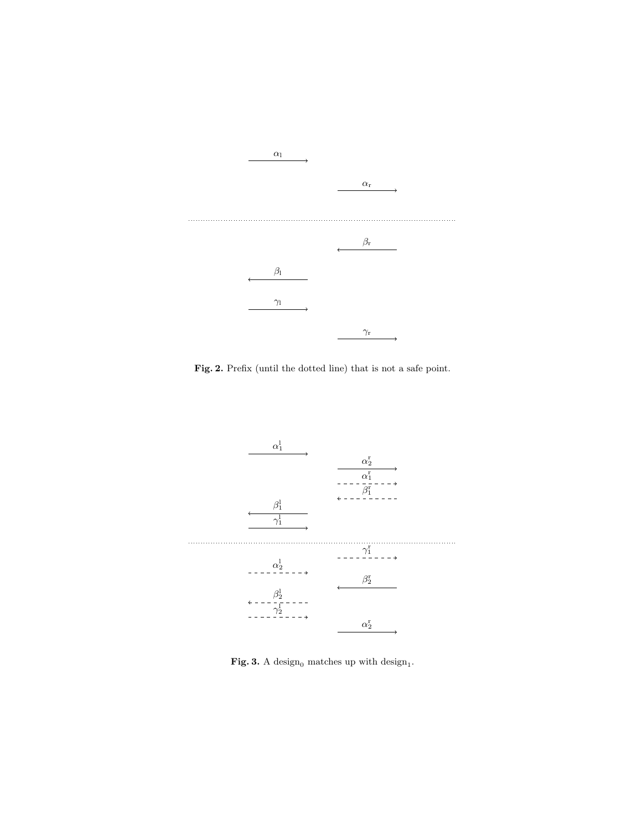

Fig. 2. Prefix (until the dotted line) that is not a safe point.



Fig. 3. A design<sub>0</sub> matches up with design<sub>1</sub>.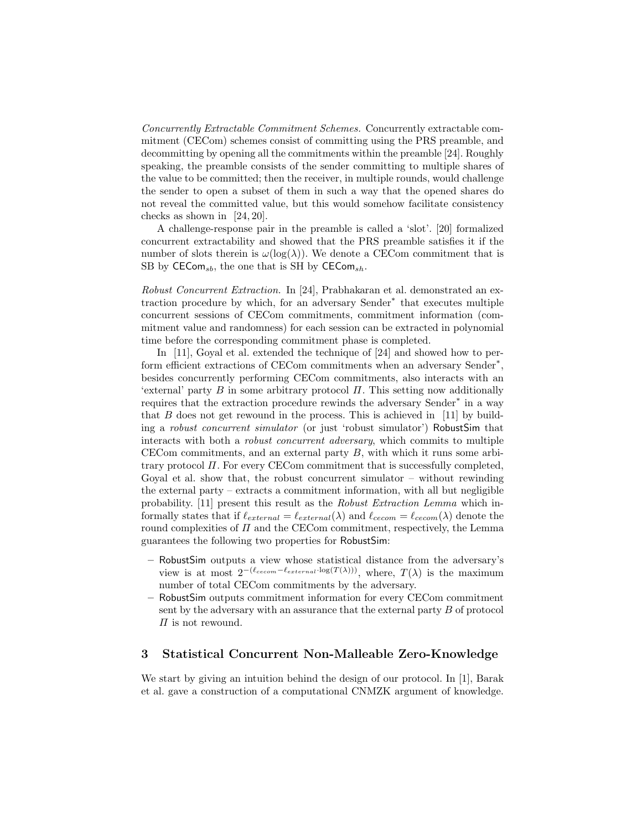Concurrently Extractable Commitment Schemes. Concurrently extractable commitment (CECom) schemes consist of committing using the PRS preamble, and decommitting by opening all the commitments within the preamble [24]. Roughly speaking, the preamble consists of the sender committing to multiple shares of the value to be committed; then the receiver, in multiple rounds, would challenge the sender to open a subset of them in such a way that the opened shares do not reveal the committed value, but this would somehow facilitate consistency checks as shown in [24, 20].

A challenge-response pair in the preamble is called a 'slot'. [20] formalized concurrent extractability and showed that the PRS preamble satisfies it if the number of slots therein is  $\omega(\log(\lambda))$ . We denote a CECom commitment that is SB by  $\mathsf{CECom}_{sb}$ , the one that is SH by  $\mathsf{CECom}_{sh}$ .

Robust Concurrent Extraction. In [24], Prabhakaran et al. demonstrated an extraction procedure by which, for an adversary Sender<sup>∗</sup> that executes multiple concurrent sessions of CECom commitments, commitment information (commitment value and randomness) for each session can be extracted in polynomial time before the corresponding commitment phase is completed.

In [11], Goyal et al. extended the technique of [24] and showed how to perform efficient extractions of CECom commitments when an adversary Sender<sup>\*</sup>, besides concurrently performing CECom commitments, also interacts with an 'external' party  $B$  in some arbitrary protocol  $\Pi$ . This setting now additionally requires that the extraction procedure rewinds the adversary Sender<sup>∗</sup> in a way that  $B$  does not get rewound in the process. This is achieved in [11] by building a robust concurrent simulator (or just 'robust simulator') RobustSim that interacts with both a robust concurrent adversary, which commits to multiple CECom commitments, and an external party  $B$ , with which it runs some arbitrary protocol  $\Pi$ . For every CECom commitment that is successfully completed, Goyal et al. show that, the robust concurrent simulator – without rewinding the external party – extracts a commitment information, with all but negligible probability. [11] present this result as the Robust Extraction Lemma which informally states that if  $\ell_{external} = \ell_{external}(\lambda)$  and  $\ell_{cecom} = \ell_{cecom}(\lambda)$  denote the round complexities of  $\Pi$  and the CECom commitment, respectively, the Lemma guarantees the following two properties for RobustSim:

- RobustSim outputs a view whose statistical distance from the adversary's view is at most  $2^{-(\ell_{cecom}-\ell_{external}\cdot \log(T(\lambda)))}$ , where,  $T(\lambda)$  is the maximum number of total CECom commitments by the adversary.
- RobustSim outputs commitment information for every CECom commitment sent by the adversary with an assurance that the external party B of protocol  $\Pi$  is not rewound.

# 3 Statistical Concurrent Non-Malleable Zero-Knowledge

We start by giving an intuition behind the design of our protocol. In [1], Barak et al. gave a construction of a computational CNMZK argument of knowledge.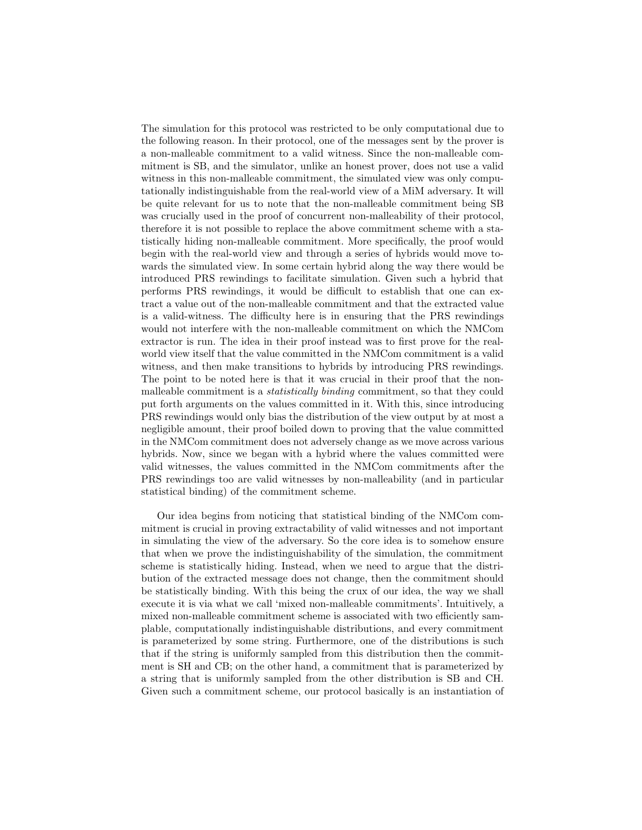The simulation for this protocol was restricted to be only computational due to the following reason. In their protocol, one of the messages sent by the prover is a non-malleable commitment to a valid witness. Since the non-malleable commitment is SB, and the simulator, unlike an honest prover, does not use a valid witness in this non-malleable commitment, the simulated view was only computationally indistinguishable from the real-world view of a MiM adversary. It will be quite relevant for us to note that the non-malleable commitment being SB was crucially used in the proof of concurrent non-malleability of their protocol, therefore it is not possible to replace the above commitment scheme with a statistically hiding non-malleable commitment. More specifically, the proof would begin with the real-world view and through a series of hybrids would move towards the simulated view. In some certain hybrid along the way there would be introduced PRS rewindings to facilitate simulation. Given such a hybrid that performs PRS rewindings, it would be difficult to establish that one can extract a value out of the non-malleable commitment and that the extracted value is a valid-witness. The difficulty here is in ensuring that the PRS rewindings would not interfere with the non-malleable commitment on which the NMCom extractor is run. The idea in their proof instead was to first prove for the realworld view itself that the value committed in the NMCom commitment is a valid witness, and then make transitions to hybrids by introducing PRS rewindings. The point to be noted here is that it was crucial in their proof that the nonmalleable commitment is a statistically binding commitment, so that they could put forth arguments on the values committed in it. With this, since introducing PRS rewindings would only bias the distribution of the view output by at most a negligible amount, their proof boiled down to proving that the value committed in the NMCom commitment does not adversely change as we move across various hybrids. Now, since we began with a hybrid where the values committed were valid witnesses, the values committed in the NMCom commitments after the PRS rewindings too are valid witnesses by non-malleability (and in particular statistical binding) of the commitment scheme.

Our idea begins from noticing that statistical binding of the NMCom commitment is crucial in proving extractability of valid witnesses and not important in simulating the view of the adversary. So the core idea is to somehow ensure that when we prove the indistinguishability of the simulation, the commitment scheme is statistically hiding. Instead, when we need to argue that the distribution of the extracted message does not change, then the commitment should be statistically binding. With this being the crux of our idea, the way we shall execute it is via what we call 'mixed non-malleable commitments'. Intuitively, a mixed non-malleable commitment scheme is associated with two efficiently samplable, computationally indistinguishable distributions, and every commitment is parameterized by some string. Furthermore, one of the distributions is such that if the string is uniformly sampled from this distribution then the commitment is SH and CB; on the other hand, a commitment that is parameterized by a string that is uniformly sampled from the other distribution is SB and CH. Given such a commitment scheme, our protocol basically is an instantiation of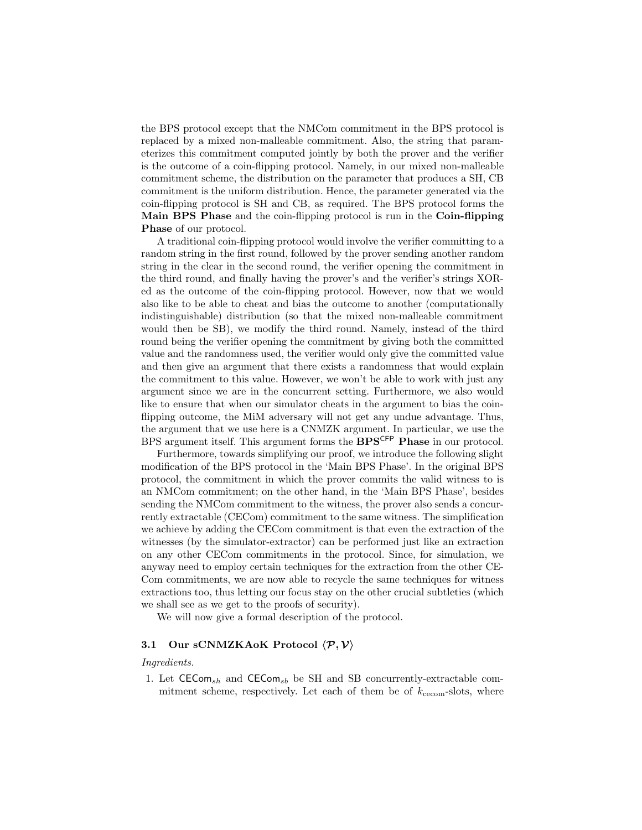the BPS protocol except that the NMCom commitment in the BPS protocol is replaced by a mixed non-malleable commitment. Also, the string that parameterizes this commitment computed jointly by both the prover and the verifier is the outcome of a coin-flipping protocol. Namely, in our mixed non-malleable commitment scheme, the distribution on the parameter that produces a SH, CB commitment is the uniform distribution. Hence, the parameter generated via the coin-flipping protocol is SH and CB, as required. The BPS protocol forms the Main BPS Phase and the coin-flipping protocol is run in the Coin-flipping Phase of our protocol.

A traditional coin-flipping protocol would involve the verifier committing to a random string in the first round, followed by the prover sending another random string in the clear in the second round, the verifier opening the commitment in the third round, and finally having the prover's and the verifier's strings XORed as the outcome of the coin-flipping protocol. However, now that we would also like to be able to cheat and bias the outcome to another (computationally indistinguishable) distribution (so that the mixed non-malleable commitment would then be SB), we modify the third round. Namely, instead of the third round being the verifier opening the commitment by giving both the committed value and the randomness used, the verifier would only give the committed value and then give an argument that there exists a randomness that would explain the commitment to this value. However, we won't be able to work with just any argument since we are in the concurrent setting. Furthermore, we also would like to ensure that when our simulator cheats in the argument to bias the coinflipping outcome, the MiM adversary will not get any undue advantage. Thus, the argument that we use here is a CNMZK argument. In particular, we use the BPS argument itself. This argument forms the BPSCFP Phase in our protocol.

Furthermore, towards simplifying our proof, we introduce the following slight modification of the BPS protocol in the 'Main BPS Phase'. In the original BPS protocol, the commitment in which the prover commits the valid witness to is an NMCom commitment; on the other hand, in the 'Main BPS Phase', besides sending the NMCom commitment to the witness, the prover also sends a concurrently extractable (CECom) commitment to the same witness. The simplification we achieve by adding the CECom commitment is that even the extraction of the witnesses (by the simulator-extractor) can be performed just like an extraction on any other CECom commitments in the protocol. Since, for simulation, we anyway need to employ certain techniques for the extraction from the other CE-Com commitments, we are now able to recycle the same techniques for witness extractions too, thus letting our focus stay on the other crucial subtleties (which we shall see as we get to the proofs of security).

We will now give a formal description of the protocol.

# 3.1 Our sCNMZKAoK Protocol  $\langle \mathcal{P}, \mathcal{V} \rangle$

#### Ingredients.

1. Let  $CECom_{sh}$  and  $CECom_{sb}$  be SH and SB concurrently-extractable commitment scheme, respectively. Let each of them be of  $k_{\text{cecom}}$ -slots, where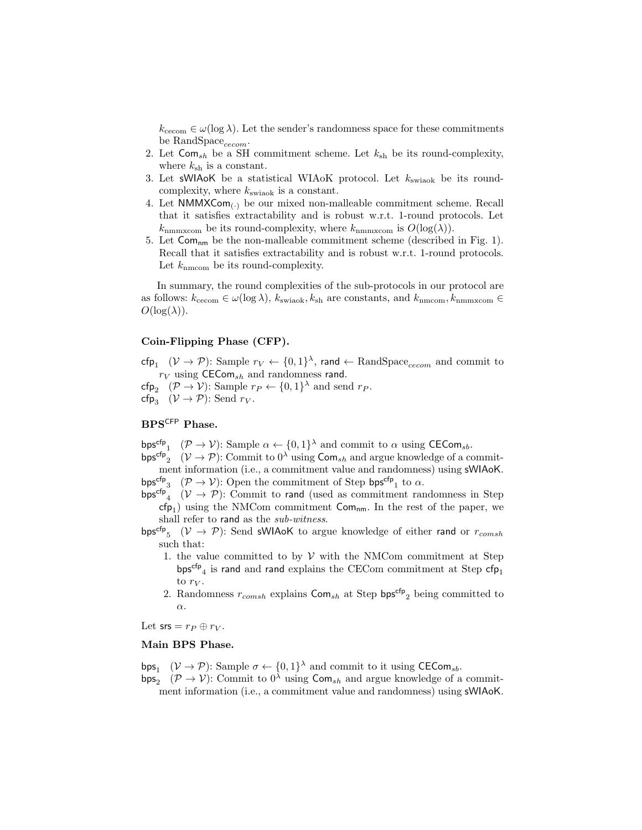$k_{\text{cecom}} \in \omega(\log \lambda)$ . Let the sender's randomness space for these commitments be RandSpace<sub>cecom</sub>.

- 2. Let  $\mathsf{Com}_{sh}$  be a SH commitment scheme. Let  $k_{sh}$  be its round-complexity, where  $k_{\rm sh}$  is a constant.
- 3. Let sWIAoK be a statistical WIAoK protocol. Let  $k_{\text{swiaok}}$  be its roundcomplexity, where  $k_{\text{swiack}}$  is a constant.
- 4. Let  $NMMXCom_{(.)}$  be our mixed non-malleable commitment scheme. Recall that it satisfies extractability and is robust w.r.t. 1-round protocols. Let  $k_{\text{nmmxcom}}$  be its round-complexity, where  $k_{\text{nmmxcom}}$  is  $O(\log(\lambda)).$
- 5. Let  $\mathsf{Com}_{nm}$  be the non-malleable commitment scheme (described in Fig. 1). Recall that it satisfies extractability and is robust w.r.t. 1-round protocols. Let  $k_{\text{nmcom}}$  be its round-complexity.

In summary, the round complexities of the sub-protocols in our protocol are as follows:  $k_{\text{cecom}} \in \omega(\log \lambda)$ ,  $k_{\text{swiack}}$ ,  $k_{\text{sh}}$  are constants, and  $k_{\text{nmcom}}$ ,  $k_{\text{nmmxcom}} \in$  $O(\log(\lambda)).$ 

### Coin-Flipping Phase (CFP).

- cfp<sub>1</sub>  $(\mathcal{V} \to \mathcal{P})$ : Sample  $r_V \leftarrow \{0,1\}^{\lambda}$ , rand  $\leftarrow$  RandSpace<sub>cecom</sub> and commit to  $r_V$  using CECom<sub>sh</sub> and randomness rand.
- cfp<sub>2</sub>  $(\mathcal{P} \to \mathcal{V})$ : Sample  $r_P \leftarrow \{0,1\}^{\lambda}$  and send  $r_P$ . cfp<sub>3</sub>  $(\mathcal{V} \rightarrow \mathcal{P})$ : Send  $r_V$ .

# BPSCFP Phase.

- bps<sup>cfp</sup><sub>1</sub>  $(\mathcal{P} \to \mathcal{V})$ : Sample  $\alpha \leftarrow \{0,1\}^{\lambda}$  and commit to  $\alpha$  using CECom<sub>sb</sub>.
- bps<sup>cfp</sup><sub>2</sub>  $(\mathcal{V} \to \mathcal{P})$ : Commit to  $0^{\lambda}$  using Com<sub>sh</sub> and argue knowledge of a commitment information (i.e., a commitment value and randomness) using sWIAoK.
- bps<sup>cfp</sup><sub>3</sub>  $(\mathcal{P} \to \mathcal{V})$ : Open the commitment of Step bps<sup>cfp</sup><sub>1</sub> to  $\alpha$ .
- bps<sup>cfp</sup><sub>4</sub>  $(\mathcal{V} \rightarrow \mathcal{P})$ : Commit to rand (used as commitment randomness in Step  $\mathsf{cfp}_1$ ) using the NMCom commitment  $\mathsf{Com}_{nm}$ . In the rest of the paper, we shall refer to rand as the *sub-witness*.
- bps<sup>cfp</sup><sub>5</sub> ( $V \rightarrow \mathcal{P}$ ): Send sWIAoK to argue knowledge of either rand or  $r_{comsh}$ such that:
	- 1. the value committed to by  $V$  with the NMCom commitment at Step  ${\sf bps}^{\sf cfp}{}_{4}$  is rand and rand explains the CECom commitment at Step  ${\sf cfp}_{1}$ to  $r_V$ .
	- 2. Randomness  $r_{comsh}$  explains  $\textsf{Com}_{sh}$  at Step bps<sup>cfp</sup><sub>2</sub> being committed to  $\alpha$ .

Let  $\mathsf{srs} = r_P \oplus r_V$ .

# Main BPS Phase.

bps<sub>1</sub>  $(\mathcal{V} \to \mathcal{P})$ : Sample  $\sigma \leftarrow \{0,1\}^{\lambda}$  and commit to it using CECom<sub>sb</sub>.

bps<sub>2</sub>  $(\mathcal{P} \to \mathcal{V})$ : Commit to  $0^{\lambda}$  using Com<sub>sh</sub> and argue knowledge of a commitment information (i.e., a commitment value and randomness) using sWIAoK.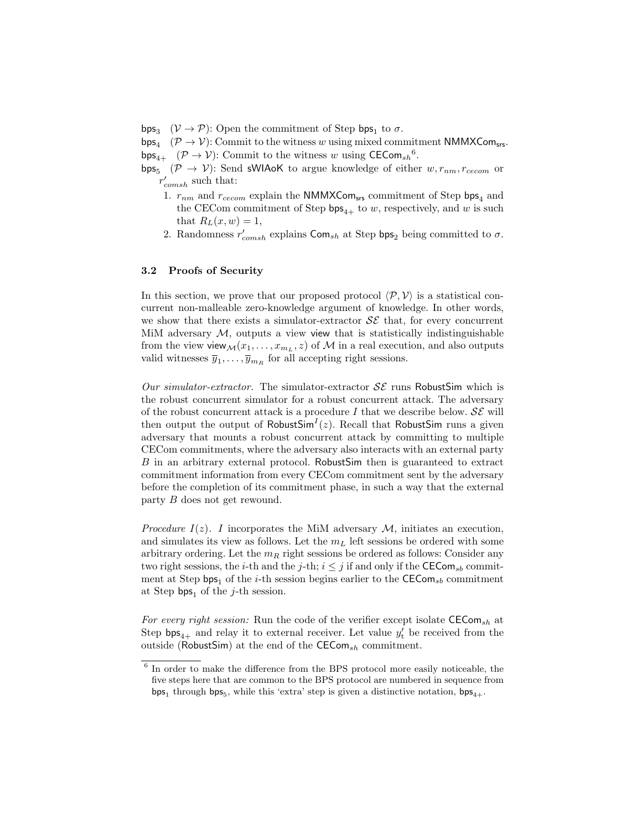- bps<sub>3</sub>  $(\mathcal{V} \to \mathcal{P})$ : Open the commitment of Step bps<sub>1</sub> to  $\sigma$ .
- bps<sub>4</sub>  $(\mathcal{P} \to \mathcal{V})$ : Commit to the witness w using mixed commitment NMMXCom<sub>srs</sub>. bps<sub>4+</sub>  $(\mathcal{P} \to \mathcal{V})$ : Commit to the witness w using CECom<sub>sh</sub><sup>6</sup>.
- bps<sub>5</sub>  $(\mathcal{P} \rightarrow \mathcal{V})$ : Send sWIAoK to argue knowledge of either  $w, r_{nm}, r_{cecom}$  or  $r'_{comsh}$  such that:
	- 1.  $r_{nm}$  and  $r_{cecom}$  explain the NMMXCom<sub>srs</sub> commitment of Step bps<sub>4</sub> and the CECom commitment of Step  $bps_{4+}$  to w, respectively, and w is such that  $R_L(x, w) = 1$ ,
	- 2. Randomness  $r'_{comsh}$  explains  $\mathsf{Com}_{sh}$  at Step bps<sub>2</sub> being committed to  $\sigma$ .

# 3.2 Proofs of Security

In this section, we prove that our proposed protocol  $\langle \mathcal{P}, \mathcal{V} \rangle$  is a statistical concurrent non-malleable zero-knowledge argument of knowledge. In other words, we show that there exists a simulator-extractor  $\mathcal{SE}$  that, for every concurrent MiM adversary  $M$ , outputs a view view that is statistically indistinguishable from the view view  $\mathcal{M}(x_1, \ldots, x_{m_L}, z)$  of  $\mathcal M$  in a real execution, and also outputs valid witnesses  $\overline{y}_1, \ldots, \overline{y}_{m_R}$  for all accepting right sessions.

Our simulator-extractor. The simulator-extractor  $\mathcal{SE}$  runs RobustSim which is the robust concurrent simulator for a robust concurrent attack. The adversary of the robust concurrent attack is a procedure I that we describe below.  $\mathcal{SE}$  will then output the output of Robust $\text{Sim}^I(z)$ . Recall that RobustSim runs a given adversary that mounts a robust concurrent attack by committing to multiple CECom commitments, where the adversary also interacts with an external party B in an arbitrary external protocol. RobustSim then is guaranteed to extract commitment information from every CECom commitment sent by the adversary before the completion of its commitment phase, in such a way that the external party B does not get rewound.

*Procedure I(z). I* incorporates the MiM adversary  $M$ , initiates an execution, and simulates its view as follows. Let the  $m<sub>L</sub>$  left sessions be ordered with some arbitrary ordering. Let the  $m_R$  right sessions be ordered as follows: Consider any two right sessions, the *i*-th and the *j*-th;  $i \leq j$  if and only if the CECom<sub>sb</sub> commitment at Step  $bps_1$  of the *i*-th session begins earlier to the CECom<sub>sb</sub> commitment at Step  $bps_1$  of the *j*-th session.

For every right session: Run the code of the verifier except isolate  $CECom_{sh}$  at Step  $bps_{4+}$  and relay it to external receiver. Let value  $y_t'$  be received from the outside (RobustSim) at the end of the  $CECom_{sh}$  commitment.

<sup>&</sup>lt;sup>6</sup> In order to make the difference from the BPS protocol more easily noticeable, the five steps here that are common to the BPS protocol are numbered in sequence from  $bps_1$  through  $bps_5$ , while this 'extra' step is given a distinctive notation,  $bps_{4+}$ .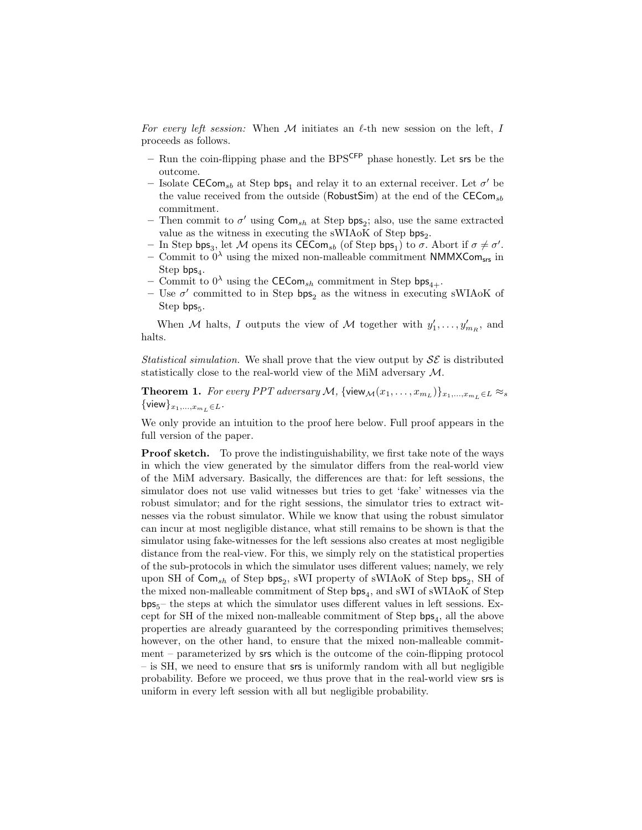For every left session: When M initiates an  $\ell$ -th new session on the left, I proceeds as follows.

- Run the coin-flipping phase and the BPS<sup>CFP</sup> phase honestly. Let srs be the outcome.
- Isolate CECom<sub>sb</sub> at Step  $bps_1$  and relay it to an external receiver. Let  $\sigma'$  be the value received from the outside (RobustSim) at the end of the  $CECom_{sb}$ commitment.
- Then commit to  $\sigma'$  using  $\textsf{Com}_{sh}$  at Step bps<sub>2</sub>; also, use the same extracted value as the witness in executing the sWIAoK of Step  $bps_2$ .
- In Step bps<sub>3</sub>, let M opens its CECom<sub>sb</sub> (of Step bps<sub>1</sub>) to  $\sigma$ . Abort if  $\sigma \neq \sigma'$ .
- Commit to  $0^{\lambda}$  using the mixed non-malleable commitment NMMXCom<sub>srs</sub> in  $Step$  bps<sub>4</sub>.
- Commit to  $0^{\lambda}$  using the CECom<sub>sh</sub> commitment in Step bps<sub>4+</sub>.
- Use  $\sigma'$  committed to in Step bps<sub>2</sub> as the witness in executing sWIAoK of Step  $bps_5$ .

When M halts, I outputs the view of M together with  $y'_1, \ldots, y'_{m_R}$ , and halts.

Statistical simulation. We shall prove that the view output by  $\mathcal{SE}$  is distributed statistically close to the real-world view of the MiM adversary M.

**Theorem 1.** For every PPT adversary  $M$ , {view $M(x_1, ..., x_{m_L})$ } $_{x_1,...,x_{m_L} \in L} \approx$  $\{\mathsf{view}\}_{x_1,...,x_{m_L} \in L}$ .

We only provide an intuition to the proof here below. Full proof appears in the full version of the paper.

**Proof sketch.** To prove the indistinguishability, we first take note of the ways in which the view generated by the simulator differs from the real-world view of the MiM adversary. Basically, the differences are that: for left sessions, the simulator does not use valid witnesses but tries to get 'fake' witnesses via the robust simulator; and for the right sessions, the simulator tries to extract witnesses via the robust simulator. While we know that using the robust simulator can incur at most negligible distance, what still remains to be shown is that the simulator using fake-witnesses for the left sessions also creates at most negligible distance from the real-view. For this, we simply rely on the statistical properties of the sub-protocols in which the simulator uses different values; namely, we rely upon SH of  $\mathsf{Com}_{sh}$  of Step  $\mathsf{bps}_2$ , sWI property of sWIAoK of Step  $\mathsf{bps}_2$ , SH of the mixed non-malleable commitment of Step  $bps_4$ , and sWI of sWIAoK of Step  $bps<sub>5</sub>$  the steps at which the simulator uses different values in left sessions. Except for SH of the mixed non-malleable commitment of Step  $bps_4$ , all the above properties are already guaranteed by the corresponding primitives themselves; however, on the other hand, to ensure that the mixed non-malleable commitment – parameterized by srs which is the outcome of the coin-flipping protocol – is SH, we need to ensure that srs is uniformly random with all but negligible probability. Before we proceed, we thus prove that in the real-world view srs is uniform in every left session with all but negligible probability.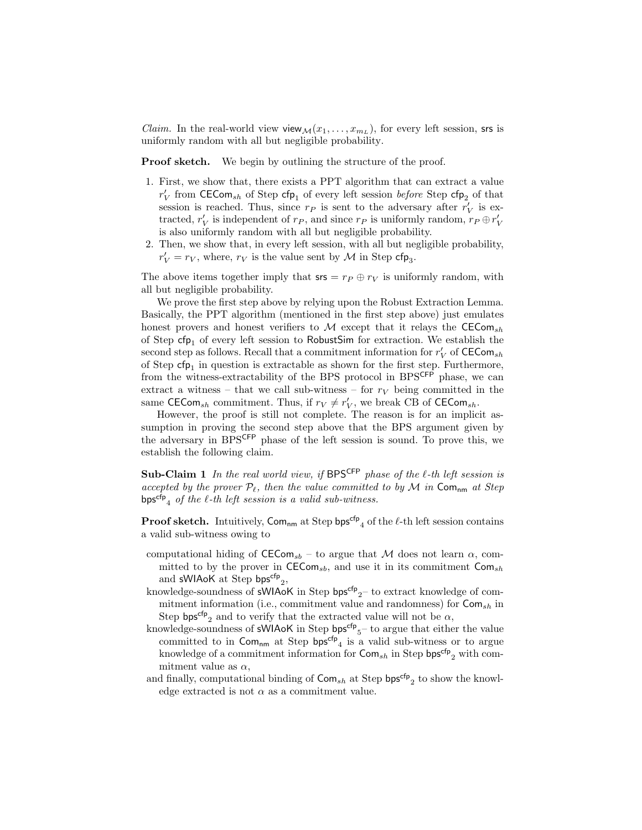*Claim.* In the real-world view view  $\mathcal{M}(x_1, \ldots, x_{m_L})$ , for every left session, srs is uniformly random with all but negligible probability.

**Proof sketch.** We begin by outlining the structure of the proof.

- 1. First, we show that, there exists a PPT algorithm that can extract a value  $r'_V$  from CECom<sub>sh</sub> of Step cfp<sub>1</sub> of every left session *before* Step cfp<sub>2</sub> of that session is reached. Thus, since  $r_P$  is sent to the adversary after  $r'_V$  is extracted,  $r'_V$  is independent of  $r_P$ , and since  $r_P$  is uniformly random,  $r_P \oplus r'_V$ is also uniformly random with all but negligible probability.
- 2. Then, we show that, in every left session, with all but negligible probability,  $r'_V = r_V$ , where,  $r_V$  is the value sent by  $\mathcal M$  in Step cfp<sub>3</sub>.

The above items together imply that  $\mathsf{ss} = r_P \oplus r_V$  is uniformly random, with all but negligible probability.

We prove the first step above by relying upon the Robust Extraction Lemma. Basically, the PPT algorithm (mentioned in the first step above) just emulates honest provers and honest verifiers to  $M$  except that it relays the CECom<sub>sh</sub> of Step cfp<sub>1</sub> of every left session to RobustSim for extraction. We establish the second step as follows. Recall that a commitment information for  $r'_V$  of  $\mathsf{CECom}_{sh}$ of Step  $\mathsf{cfp}_1$  in question is extractable as shown for the first step. Furthermore, from the witness-extractability of the BPS protocol in BPS<sup>CFP</sup> phase, we can extract a witness – that we call sub-witness – for  $r_V$  being committed in the same CECom<sub>sh</sub> commitment. Thus, if  $r_V \neq r'_V$ , we break CB of CECom<sub>sh</sub>.

However, the proof is still not complete. The reason is for an implicit assumption in proving the second step above that the BPS argument given by the adversary in BPSCFP phase of the left session is sound. To prove this, we establish the following claim.

Sub-Claim 1 In the real world view, if BPS<sup>CFP</sup> phase of the  $\ell$ -th left session is accepted by the prover  $\mathcal{P}_{\ell}$ , then the value committed to by M in Com<sub>nm</sub> at Step  $bps^{cfp}$ <sub>4</sub> of the  $\ell$ -th left session is a valid sub-witness.

**Proof sketch.** Intuitively,  $\mathsf{Com}_{nm}$  at Step  $\mathsf{bps}^{\mathsf{cfp}}_4$  of the  $\ell$ -th left session contains a valid sub-witness owing to

- computational hiding of  $CECom_{sb}$  to argue that M does not learn  $\alpha$ , committed to by the prover in  $CECom_{sb}$ , and use it in its commitment  $Com_{sh}$ and sWIAoK at Step  $bps^{cfp}$ <sub>2</sub>,
- knowledge-soundness of  $\mathsf{sWIAoK}$  in Step  $\mathsf{bps}^{\mathsf{cfp}}_2-$  to extract knowledge of commitment information (i.e., commitment value and randomness) for  $Com_{sh}$  in Step  $bps^{cfp}$ <sub>2</sub> and to verify that the extracted value will not be  $\alpha$ ,
- knowledge-soundness of **sWIAoK** in Step  $\mathsf{bps}^{\mathsf{cfp}}{}_{5} -$  to argue that either the value committed to in  $\mathsf{Com}_{nm}$  at Step  $\mathsf{bps}^{\mathsf{cfp}}_4$  is a valid sub-witness or to argue knowledge of a commitment information for  $\mathsf{Com}_{sh}$  in Step  $\mathsf{bps}^{\mathsf{cfp}}_2$  with commitment value as  $\alpha$ ,
- and finally, computational binding of  $\mathsf{Com}_{sh}$  at  $\mathsf{Step}\ \mathsf{bps}^{\mathsf{cfp}}_2$  to show the knowledge extracted is not  $\alpha$  as a commitment value.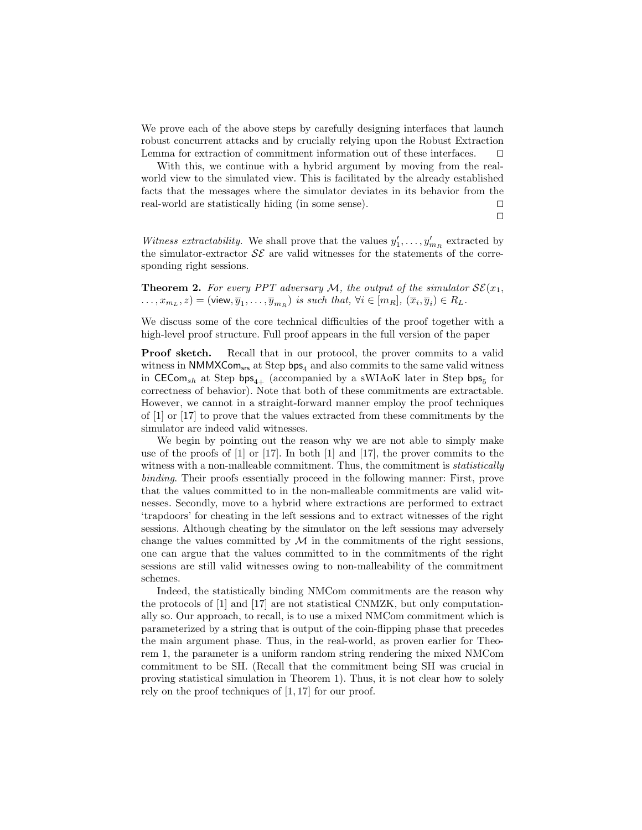We prove each of the above steps by carefully designing interfaces that launch robust concurrent attacks and by crucially relying upon the Robust Extraction Lemma for extraction of commitment information out of these interfaces.  $\Box$ 

With this, we continue with a hybrid argument by moving from the realworld view to the simulated view. This is facilitated by the already established facts that the messages where the simulator deviates in its behavior from the real-world are statistically hiding (in some sense).  $\Box$ 

 $\Box$ 

Witness extractability. We shall prove that the values  $y'_1, \ldots, y'_{m_R}$  extracted by the simulator-extractor  $\mathcal{SE}$  are valid witnesses for the statements of the corresponding right sessions.

**Theorem 2.** For every PPT adversary M, the output of the simulator  $\mathcal{SE}(x_1, x_2)$  $\dots, x_{m_L}, z) = (\text{view}, \overline{y}_1, \dots, \overline{y}_{m_R})$  is such that,  $\forall i \in [m_R], (\overline{x}_i, \overline{y}_i) \in R_L$ .

We discuss some of the core technical difficulties of the proof together with a high-level proof structure. Full proof appears in the full version of the paper

**Proof sketch.** Recall that in our protocol, the prover commits to a valid witness in  $NMMXCom<sub>srs</sub>$  at Step  $bps<sub>4</sub>$  and also commits to the same valid witness in CECom<sub>sh</sub> at Step  $bps_{4+}$  (accompanied by a sWIAoK later in Step bps<sub>5</sub> for correctness of behavior). Note that both of these commitments are extractable. However, we cannot in a straight-forward manner employ the proof techniques of [1] or [17] to prove that the values extracted from these commitments by the simulator are indeed valid witnesses.

We begin by pointing out the reason why we are not able to simply make use of the proofs of  $[1]$  or  $[17]$ . In both  $[1]$  and  $[17]$ , the prover commits to the witness with a non-malleable commitment. Thus, the commitment is *statistically* binding. Their proofs essentially proceed in the following manner: First, prove that the values committed to in the non-malleable commitments are valid witnesses. Secondly, move to a hybrid where extractions are performed to extract 'trapdoors' for cheating in the left sessions and to extract witnesses of the right sessions. Although cheating by the simulator on the left sessions may adversely change the values committed by  $\mathcal M$  in the commitments of the right sessions, one can argue that the values committed to in the commitments of the right sessions are still valid witnesses owing to non-malleability of the commitment schemes.

Indeed, the statistically binding NMCom commitments are the reason why the protocols of [1] and [17] are not statistical CNMZK, but only computationally so. Our approach, to recall, is to use a mixed NMCom commitment which is parameterized by a string that is output of the coin-flipping phase that precedes the main argument phase. Thus, in the real-world, as proven earlier for Theorem 1, the parameter is a uniform random string rendering the mixed NMCom commitment to be SH. (Recall that the commitment being SH was crucial in proving statistical simulation in Theorem 1). Thus, it is not clear how to solely rely on the proof techniques of [1, 17] for our proof.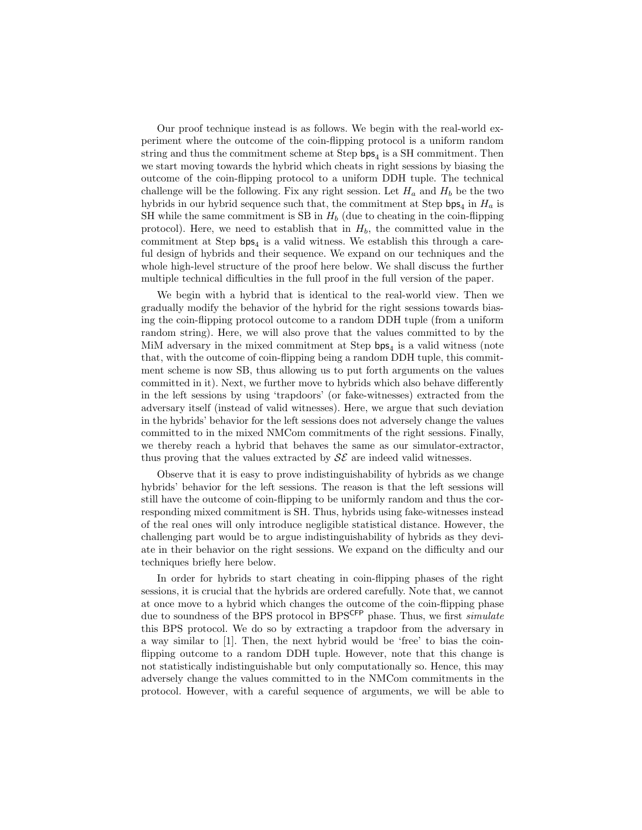Our proof technique instead is as follows. We begin with the real-world experiment where the outcome of the coin-flipping protocol is a uniform random string and thus the commitment scheme at Step  $bps_4$  is a SH commitment. Then we start moving towards the hybrid which cheats in right sessions by biasing the outcome of the coin-flipping protocol to a uniform DDH tuple. The technical challenge will be the following. Fix any right session. Let  $H_a$  and  $H_b$  be the two hybrids in our hybrid sequence such that, the commitment at Step  $bps_4$  in  $H_a$  is SH while the same commitment is SB in  $H_b$  (due to cheating in the coin-flipping protocol). Here, we need to establish that in  $H_b$ , the committed value in the commitment at Step  $bps_4$  is a valid witness. We establish this through a careful design of hybrids and their sequence. We expand on our techniques and the whole high-level structure of the proof here below. We shall discuss the further multiple technical difficulties in the full proof in the full version of the paper.

We begin with a hybrid that is identical to the real-world view. Then we gradually modify the behavior of the hybrid for the right sessions towards biasing the coin-flipping protocol outcome to a random DDH tuple (from a uniform random string). Here, we will also prove that the values committed to by the MiM adversary in the mixed commitment at Step  $bps_4$  is a valid witness (note that, with the outcome of coin-flipping being a random DDH tuple, this commitment scheme is now SB, thus allowing us to put forth arguments on the values committed in it). Next, we further move to hybrids which also behave differently in the left sessions by using 'trapdoors' (or fake-witnesses) extracted from the adversary itself (instead of valid witnesses). Here, we argue that such deviation in the hybrids' behavior for the left sessions does not adversely change the values committed to in the mixed NMCom commitments of the right sessions. Finally, we thereby reach a hybrid that behaves the same as our simulator-extractor, thus proving that the values extracted by  $\mathcal{S}\mathcal{E}$  are indeed valid witnesses.

Observe that it is easy to prove indistinguishability of hybrids as we change hybrids' behavior for the left sessions. The reason is that the left sessions will still have the outcome of coin-flipping to be uniformly random and thus the corresponding mixed commitment is SH. Thus, hybrids using fake-witnesses instead of the real ones will only introduce negligible statistical distance. However, the challenging part would be to argue indistinguishability of hybrids as they deviate in their behavior on the right sessions. We expand on the difficulty and our techniques briefly here below.

In order for hybrids to start cheating in coin-flipping phases of the right sessions, it is crucial that the hybrids are ordered carefully. Note that, we cannot at once move to a hybrid which changes the outcome of the coin-flipping phase due to soundness of the BPS protocol in BPS<sup>CFP</sup> phase. Thus, we first *simulate* this BPS protocol. We do so by extracting a trapdoor from the adversary in a way similar to [1]. Then, the next hybrid would be 'free' to bias the coinflipping outcome to a random DDH tuple. However, note that this change is not statistically indistinguishable but only computationally so. Hence, this may adversely change the values committed to in the NMCom commitments in the protocol. However, with a careful sequence of arguments, we will be able to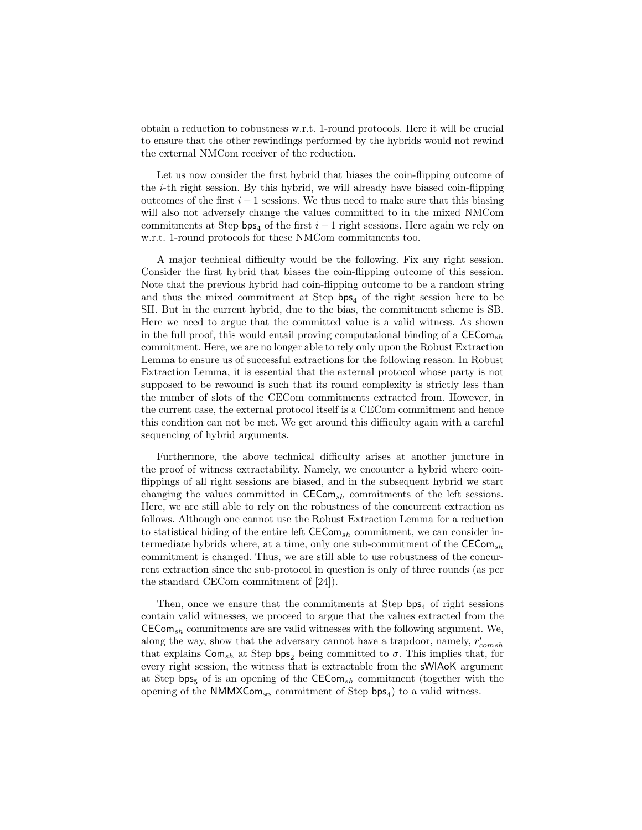obtain a reduction to robustness w.r.t. 1-round protocols. Here it will be crucial to ensure that the other rewindings performed by the hybrids would not rewind the external NMCom receiver of the reduction.

Let us now consider the first hybrid that biases the coin-flipping outcome of the  $i$ -th right session. By this hybrid, we will already have biased coin-flipping outcomes of the first  $i - 1$  sessions. We thus need to make sure that this biasing will also not adversely change the values committed to in the mixed NMCom commitments at Step bps<sub>4</sub> of the first  $i - 1$  right sessions. Here again we rely on w.r.t. 1-round protocols for these NMCom commitments too.

A major technical difficulty would be the following. Fix any right session. Consider the first hybrid that biases the coin-flipping outcome of this session. Note that the previous hybrid had coin-flipping outcome to be a random string and thus the mixed commitment at Step  $bps<sub>4</sub>$  of the right session here to be SH. But in the current hybrid, due to the bias, the commitment scheme is SB. Here we need to argue that the committed value is a valid witness. As shown in the full proof, this would entail proving computational binding of a  $CECom_{sh}$ commitment. Here, we are no longer able to rely only upon the Robust Extraction Lemma to ensure us of successful extractions for the following reason. In Robust Extraction Lemma, it is essential that the external protocol whose party is not supposed to be rewound is such that its round complexity is strictly less than the number of slots of the CECom commitments extracted from. However, in the current case, the external protocol itself is a CECom commitment and hence this condition can not be met. We get around this difficulty again with a careful sequencing of hybrid arguments.

Furthermore, the above technical difficulty arises at another juncture in the proof of witness extractability. Namely, we encounter a hybrid where coinflippings of all right sessions are biased, and in the subsequent hybrid we start changing the values committed in  $CECom_{sh}$  commitments of the left sessions. Here, we are still able to rely on the robustness of the concurrent extraction as follows. Although one cannot use the Robust Extraction Lemma for a reduction to statistical hiding of the entire left  $CECom_{sh}$  commitment, we can consider intermediate hybrids where, at a time, only one sub-commitment of the  $CECom_{sh}$ commitment is changed. Thus, we are still able to use robustness of the concurrent extraction since the sub-protocol in question is only of three rounds (as per the standard CECom commitment of [24]).

Then, once we ensure that the commitments at Step  $bps<sub>4</sub>$  of right sessions contain valid witnesses, we proceed to argue that the values extracted from the  $CECom<sub>sh</sub>$  commitments are are valid witnesses with the following argument. We, along the way, show that the adversary cannot have a trapdoor, namely,  $r^\prime_{comsh}$ that explains  $\textsf{Com}_{sh}$  at Step bps<sub>2</sub> being committed to  $\sigma$ . This implies that, for every right session, the witness that is extractable from the sWIAoK argument at Step bps<sub>5</sub> of is an opening of the CECom<sub>sh</sub> commitment (together with the opening of the NMMXCom<sub>srs</sub> commitment of Step  $bps_4$ ) to a valid witness.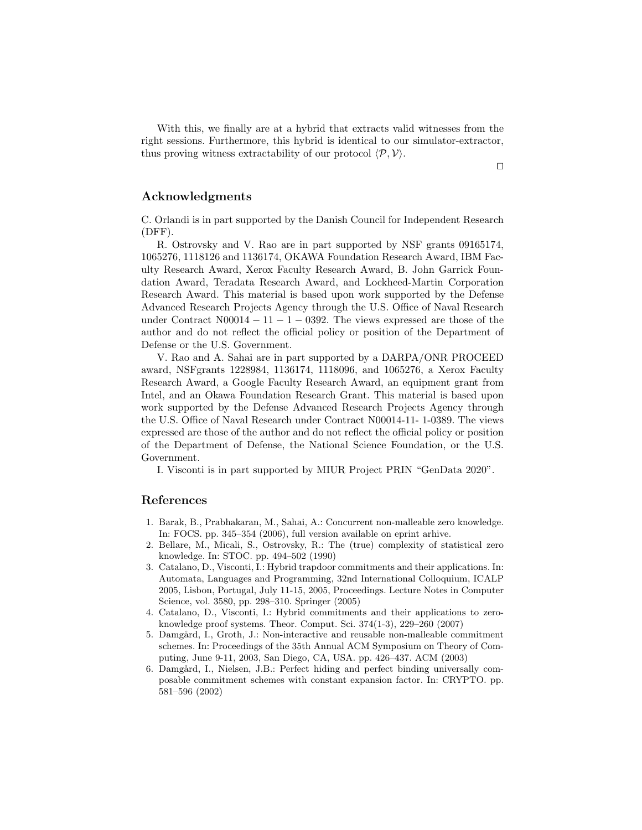With this, we finally are at a hybrid that extracts valid witnesses from the right sessions. Furthermore, this hybrid is identical to our simulator-extractor, thus proving witness extractability of our protocol  $\langle \mathcal{P}, \mathcal{V} \rangle$ .

Acknowledgments

C. Orlandi is in part supported by the Danish Council for Independent Research  $(DFF)$ .

R. Ostrovsky and V. Rao are in part supported by NSF grants 09165174, 1065276, 1118126 and 1136174, OKAWA Foundation Research Award, IBM Faculty Research Award, Xerox Faculty Research Award, B. John Garrick Foundation Award, Teradata Research Award, and Lockheed-Martin Corporation Research Award. This material is based upon work supported by the Defense Advanced Research Projects Agency through the U.S. Office of Naval Research under Contract  $N00014 - 11 - 1 - 0392$ . The views expressed are those of the author and do not reflect the official policy or position of the Department of Defense or the U.S. Government.

V. Rao and A. Sahai are in part supported by a DARPA/ONR PROCEED award, NSFgrants 1228984, 1136174, 1118096, and 1065276, a Xerox Faculty Research Award, a Google Faculty Research Award, an equipment grant from Intel, and an Okawa Foundation Research Grant. This material is based upon work supported by the Defense Advanced Research Projects Agency through the U.S. Office of Naval Research under Contract N00014-11- 1-0389. The views expressed are those of the author and do not reflect the official policy or position of the Department of Defense, the National Science Foundation, or the U.S. Government.

I. Visconti is in part supported by MIUR Project PRIN "GenData 2020".

# References

- 1. Barak, B., Prabhakaran, M., Sahai, A.: Concurrent non-malleable zero knowledge. In: FOCS. pp. 345–354 (2006), full version available on eprint arhive.
- 2. Bellare, M., Micali, S., Ostrovsky, R.: The (true) complexity of statistical zero knowledge. In: STOC. pp. 494–502 (1990)
- 3. Catalano, D., Visconti, I.: Hybrid trapdoor commitments and their applications. In: Automata, Languages and Programming, 32nd International Colloquium, ICALP 2005, Lisbon, Portugal, July 11-15, 2005, Proceedings. Lecture Notes in Computer Science, vol. 3580, pp. 298–310. Springer (2005)
- 4. Catalano, D., Visconti, I.: Hybrid commitments and their applications to zeroknowledge proof systems. Theor. Comput. Sci. 374(1-3), 229–260 (2007)
- 5. Damgård, I., Groth, J.: Non-interactive and reusable non-malleable commitment schemes. In: Proceedings of the 35th Annual ACM Symposium on Theory of Computing, June 9-11, 2003, San Diego, CA, USA. pp. 426–437. ACM (2003)
- 6. Damgård, I., Nielsen, J.B.: Perfect hiding and perfect binding universally composable commitment schemes with constant expansion factor. In: CRYPTO. pp. 581–596 (2002)

 $\Box$